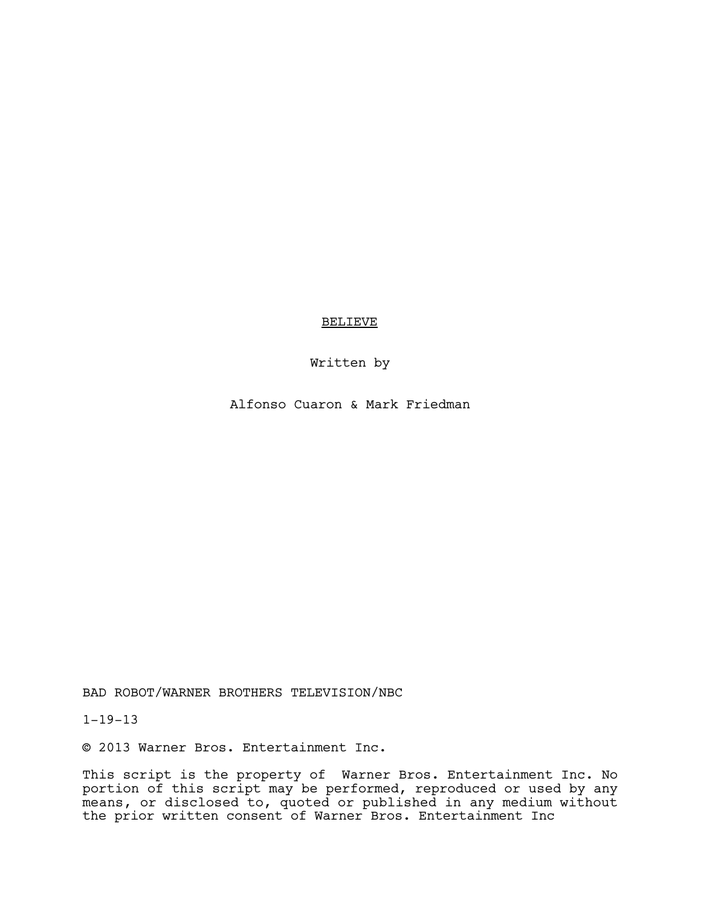# BELIEVE

# Written by

Alfonso Cuaron & Mark Friedman

BAD ROBOT/WARNER BROTHERS TELEVISION/NBC

1-19-13

© 2013 Warner Bros. Entertainment Inc.

This script is the property of Warner Bros. Entertainment Inc. No portion of this script may be performed, reproduced or used by any means, or disclosed to, quoted or published in any medium without the prior written consent of Warner Bros. Entertainment Inc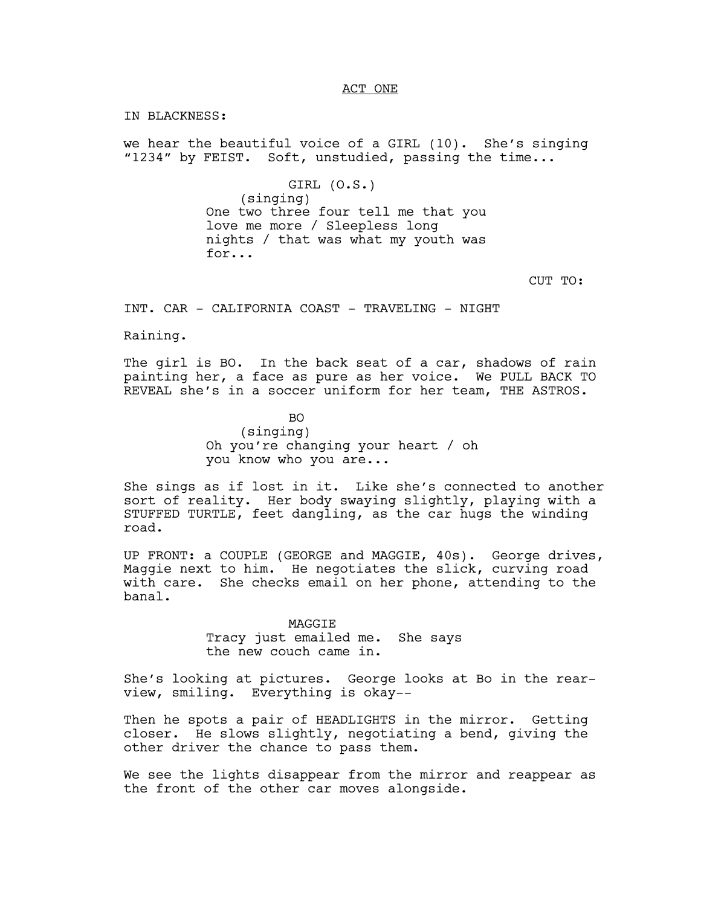## ACT ONE

IN BLACKNESS:

we hear the beautiful voice of a GIRL (10). She's singing "1234" by FEIST. Soft, unstudied, passing the time...

> GIRL (O.S.) (singing) One two three four tell me that you love me more / Sleepless long nights / that was what my youth was for...

> > CUT TO:

INT. CAR - CALIFORNIA COAST - TRAVELING - NIGHT

Raining.

The girl is BO. In the back seat of a car, shadows of rain painting her, a face as pure as her voice. We PULL BACK TO REVEAL she's in a soccer uniform for her team, THE ASTROS.

> BO (singing) Oh you're changing your heart / oh you know who you are...

She sings as if lost in it. Like she's connected to another sort of reality. Her body swaying slightly, playing with a STUFFED TURTLE, feet dangling, as the car hugs the winding road.

UP FRONT: a COUPLE (GEORGE and MAGGIE, 40s). George drives, Maggie next to him. He negotiates the slick, curving road with care. She checks email on her phone, attending to the banal.

> MAGGIE Tracy just emailed me. She says the new couch came in.

She's looking at pictures. George looks at Bo in the rearview, smiling. Everything is okay--

Then he spots a pair of HEADLIGHTS in the mirror. Getting closer. He slows slightly, negotiating a bend, giving the other driver the chance to pass them.

We see the lights disappear from the mirror and reappear as the front of the other car moves alongside.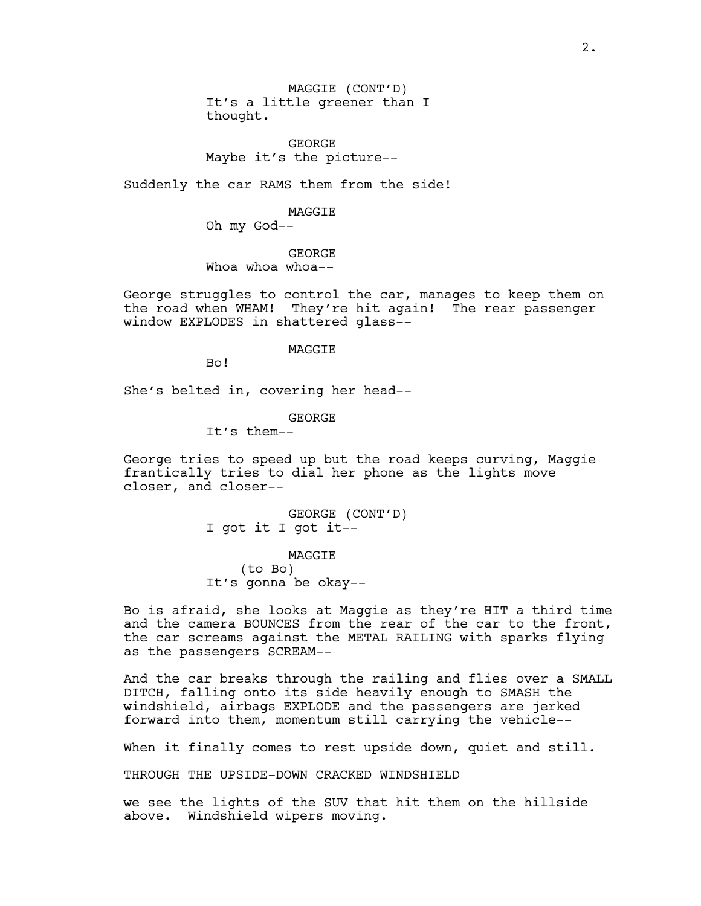MAGGIE (CONT'D) It's a little greener than I thought.

GEORGE Maybe it's the picture--

Suddenly the car RAMS them from the side!

MAGGIE

Oh my God--

GEORGE Whoa whoa--

George struggles to control the car, manages to keep them on the road when WHAM! They're hit again! The rear passenger window EXPLODES in shattered glass--

MAGGIE

Bo!

She's belted in, covering her head--

GEORGE

It's them--

George tries to speed up but the road keeps curving, Maggie frantically tries to dial her phone as the lights move closer, and closer--

> GEORGE (CONT'D) I got it I got it--

MAGGIE (to Bo) It's gonna be okay--

Bo is afraid, she looks at Maggie as they're HIT a third time and the camera BOUNCES from the rear of the car to the front, the car screams against the METAL RAILING with sparks flying as the passengers SCREAM--

And the car breaks through the railing and flies over a SMALL DITCH, falling onto its side heavily enough to SMASH the windshield, airbags EXPLODE and the passengers are jerked forward into them, momentum still carrying the vehicle--

When it finally comes to rest upside down, quiet and still.

THROUGH THE UPSIDE-DOWN CRACKED WINDSHIELD

we see the lights of the SUV that hit them on the hillside above. Windshield wipers moving.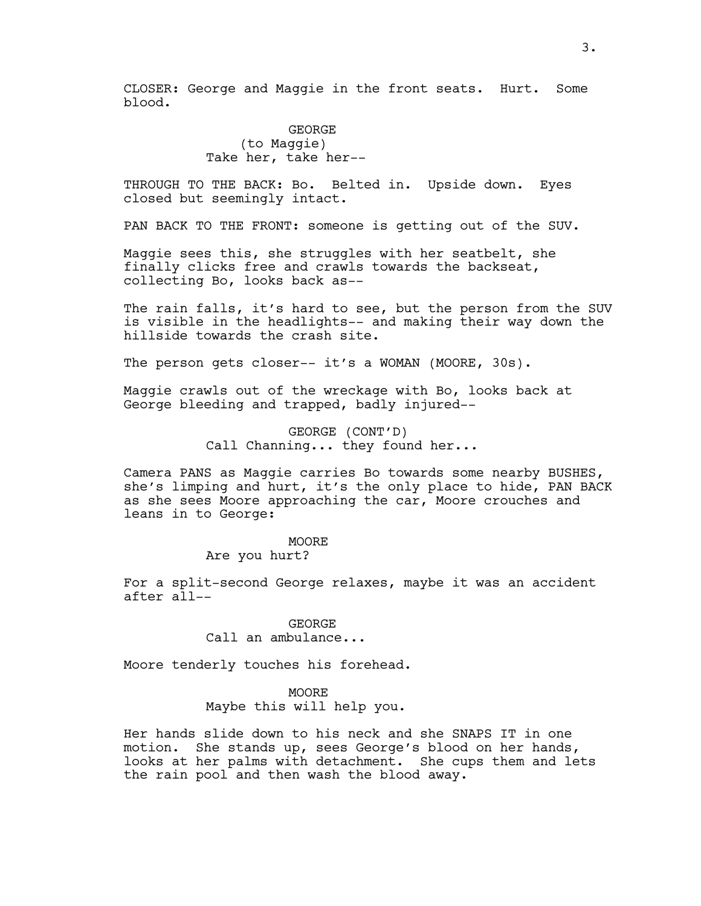CLOSER: George and Maggie in the front seats. Hurt. Some blood.

> **GEORGE** (to Maggie) Take her, take her--

THROUGH TO THE BACK: Bo. Belted in. Upside down. Eyes closed but seemingly intact.

PAN BACK TO THE FRONT: someone is getting out of the SUV.

Maggie sees this, she struggles with her seatbelt, she finally clicks free and crawls towards the backseat, collecting Bo, looks back as--

The rain falls, it's hard to see, but the person from the SUV is visible in the headlights-- and making their way down the hillside towards the crash site.

The person gets closer-- it's a WOMAN (MOORE, 30s).

Maggie crawls out of the wreckage with Bo, looks back at George bleeding and trapped, badly injured--

> GEORGE (CONT'D) Call Channing... they found her...

Camera PANS as Maggie carries Bo towards some nearby BUSHES, she's limping and hurt, it's the only place to hide, PAN BACK as she sees Moore approaching the car, Moore crouches and leans in to George:

# **MOORE**

Are you hurt?

For a split-second George relaxes, maybe it was an accident after all--

> GEORGE Call an ambulance...

Moore tenderly touches his forehead.

MOORE Maybe this will help you.

Her hands slide down to his neck and she SNAPS IT in one motion. She stands up, sees George's blood on her hands, looks at her palms with detachment. She cups them and lets the rain pool and then wash the blood away.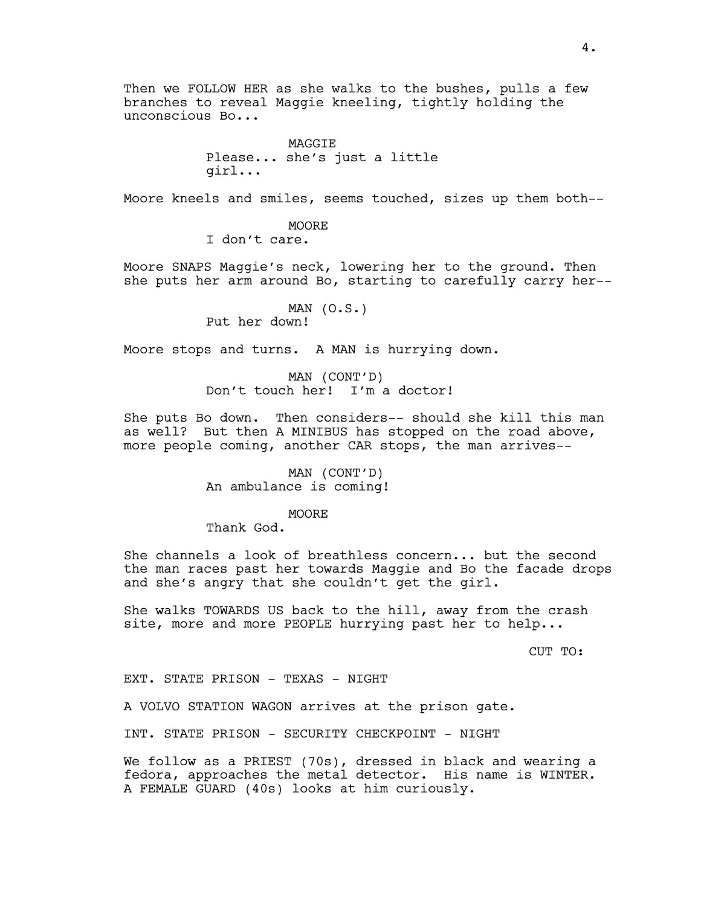Then we FOLLOW HER as she walks to the bushes, pulls a few branches to reveal Maggie kneeling, tightly holding the unconscious Bo...

> MAGGIE Please... she's just a little girl...

Moore kneels and smiles, seems touched, sizes up them both--

MOORE I don't care.

Moore SNAPS Maggie's neck, lowering her to the ground. Then she puts her arm around Bo, starting to carefully carry her--

> MAN (O.S.) Put her down!

Moore stops and turns. A MAN is hurrying down.

MAN (CONT'D) Don't touch her! I'm a doctor!

She puts Bo down. Then considers-- should she kill this man as well? But then A MINIBUS has stopped on the road above, more people coming, another CAR stops, the man arrives--

> MAN (CONT'D) An ambulance is coming!

> > **MOORE**

Thank God.

She channels a look of breathless concern... but the second the man races past her towards Maggie and Bo the facade drops and she's angry that she couldn't get the girl.

She walks TOWARDS US back to the hill, away from the crash site, more and more PEOPLE hurrying past her to help...

CUT TO:

EXT. STATE PRISON - TEXAS - NIGHT

A VOLVO STATION WAGON arrives at the prison gate.

INT. STATE PRISON - SECURITY CHECKPOINT - NIGHT

We follow as a PRIEST (70s), dressed in black and wearing a fedora, approaches the metal detector. His name is WINTER. A FEMALE GUARD (40s) looks at him curiously.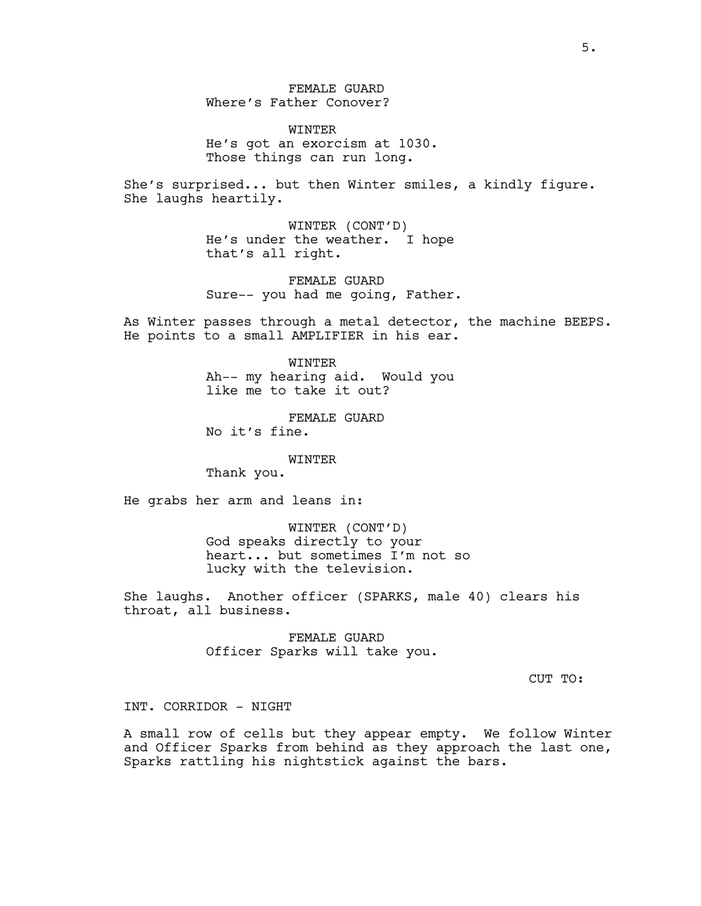FEMALE GUARD Where's Father Conover?

WINTER He's got an exorcism at 1030. Those things can run long.

She's surprised... but then Winter smiles, a kindly figure. She laughs heartily.

> WINTER (CONT'D) He's under the weather. I hope that's all right.

FEMALE GUARD Sure-- you had me going, Father.

As Winter passes through a metal detector, the machine BEEPS. He points to a small AMPLIFIER in his ear.

> WINTER Ah-- my hearing aid. Would you like me to take it out?

FEMALE GUARD No it's fine.

WINTER

Thank you.

He grabs her arm and leans in:

WINTER (CONT'D) God speaks directly to your heart... but sometimes I'm not so lucky with the television.

She laughs. Another officer (SPARKS, male 40) clears his throat, all business.

> FEMALE GUARD Officer Sparks will take you.

> > CUT TO:

INT. CORRIDOR - NIGHT

A small row of cells but they appear empty. We follow Winter and Officer Sparks from behind as they approach the last one, Sparks rattling his nightstick against the bars.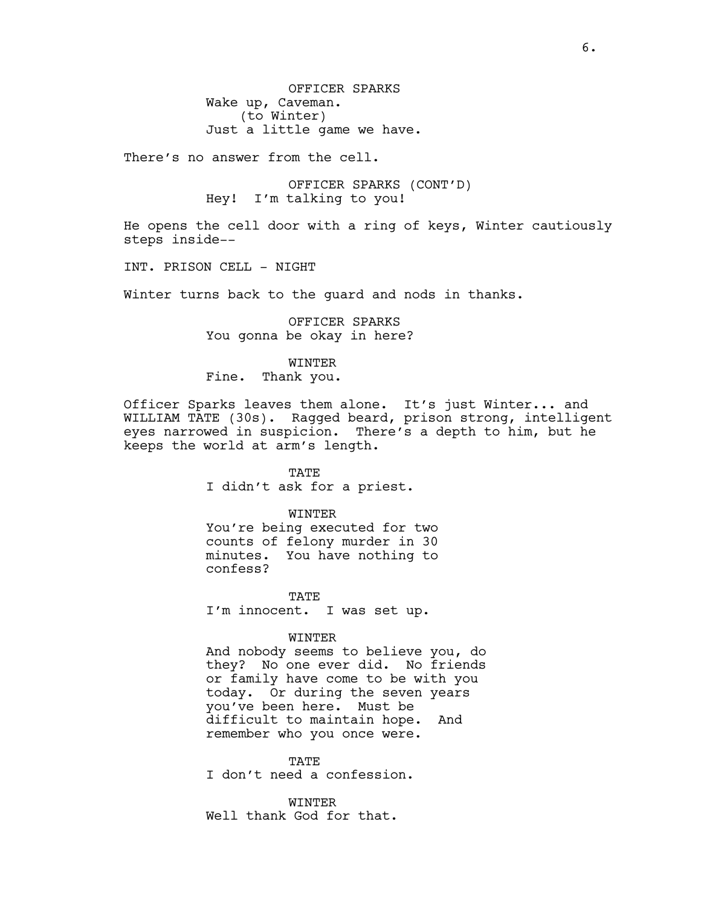OFFICER SPARKS Wake up, Caveman. (to Winter) Just a little game we have.

There's no answer from the cell.

OFFICER SPARKS (CONT'D) Hey! I'm talking to you!

He opens the cell door with a ring of keys, Winter cautiously steps inside--

INT. PRISON CELL - NIGHT

Winter turns back to the guard and nods in thanks.

OFFICER SPARKS You gonna be okay in here?

WINTER Fine. Thank you.

Officer Sparks leaves them alone. It's just Winter... and WILLIAM TATE (30s). Ragged beard, prison strong, intelligent eyes narrowed in suspicion. There's a depth to him, but he keeps the world at arm's length.

> TATE I didn't ask for a priest.

> > WINTER

You're being executed for two counts of felony murder in 30 minutes. You have nothing to confess?

TATE I'm innocent. I was set up.

WINTER

And nobody seems to believe you, do they? No one ever did. No friends or family have come to be with you today. Or during the seven years you've been here. Must be difficult to maintain hope. And remember who you once were.

TATE I don't need a confession.

**WINTER** Well thank God for that.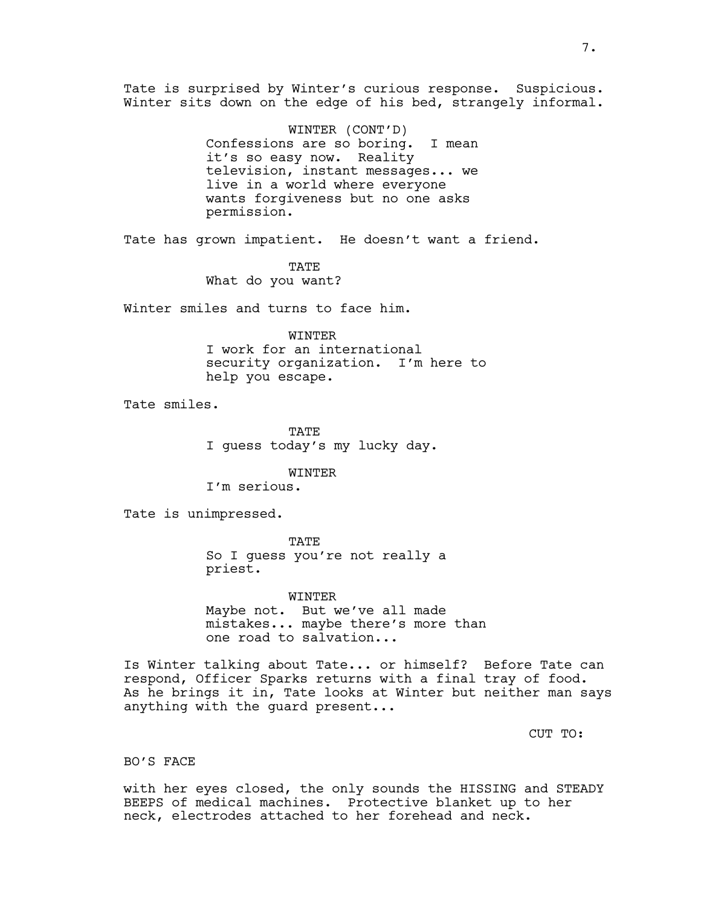Tate is surprised by Winter's curious response. Suspicious. Winter sits down on the edge of his bed, strangely informal.

> WINTER (CONT'D) Confessions are so boring. I mean it's so easy now. Reality television, instant messages... we live in a world where everyone wants forgiveness but no one asks permission.

Tate has grown impatient. He doesn't want a friend.

**TATE** What do you want?

Winter smiles and turns to face him.

WINTER I work for an international security organization. I'm here to

help you escape.

Tate smiles.

TATE I guess today's my lucky day.

WINTER

I'm serious.

Tate is unimpressed.

**TATE** So I guess you're not really a priest.

WINTER Maybe not. But we've all made mistakes... maybe there's more than one road to salvation...

Is Winter talking about Tate... or himself? Before Tate can respond, Officer Sparks returns with a final tray of food. As he brings it in, Tate looks at Winter but neither man says anything with the guard present...

CUT TO:

## BO'S FACE

with her eyes closed, the only sounds the HISSING and STEADY BEEPS of medical machines. Protective blanket up to her neck, electrodes attached to her forehead and neck.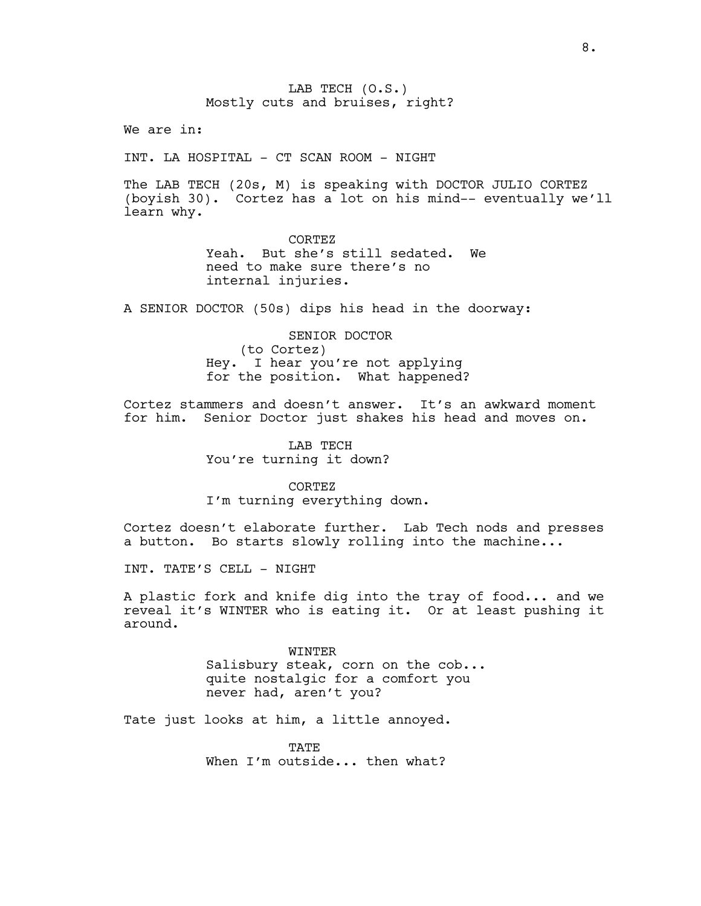LAB TECH (O.S.) Mostly cuts and bruises, right?

We are in:

INT. LA HOSPITAL - CT SCAN ROOM - NIGHT

The LAB TECH (20s, M) is speaking with DOCTOR JULIO CORTEZ (boyish 30). Cortez has a lot on his mind-- eventually we'll learn why.

> CORTEZ Yeah. But she's still sedated. We need to make sure there's no internal injuries.

A SENIOR DOCTOR (50s) dips his head in the doorway:

SENIOR DOCTOR (to Cortez) Hey. I hear you're not applying for the position. What happened?

Cortez stammers and doesn't answer. It's an awkward moment for him. Senior Doctor just shakes his head and moves on.

> LAB TECH You're turning it down?

CORTEZ I'm turning everything down.

Cortez doesn't elaborate further. Lab Tech nods and presses a button. Bo starts slowly rolling into the machine...

INT. TATE'S CELL - NIGHT

A plastic fork and knife dig into the tray of food... and we reveal it's WINTER who is eating it. Or at least pushing it around.

> WINTER Salisbury steak, corn on the cob... quite nostalgic for a comfort you never had, aren't you?

Tate just looks at him, a little annoyed.

TATE. When I'm outside... then what?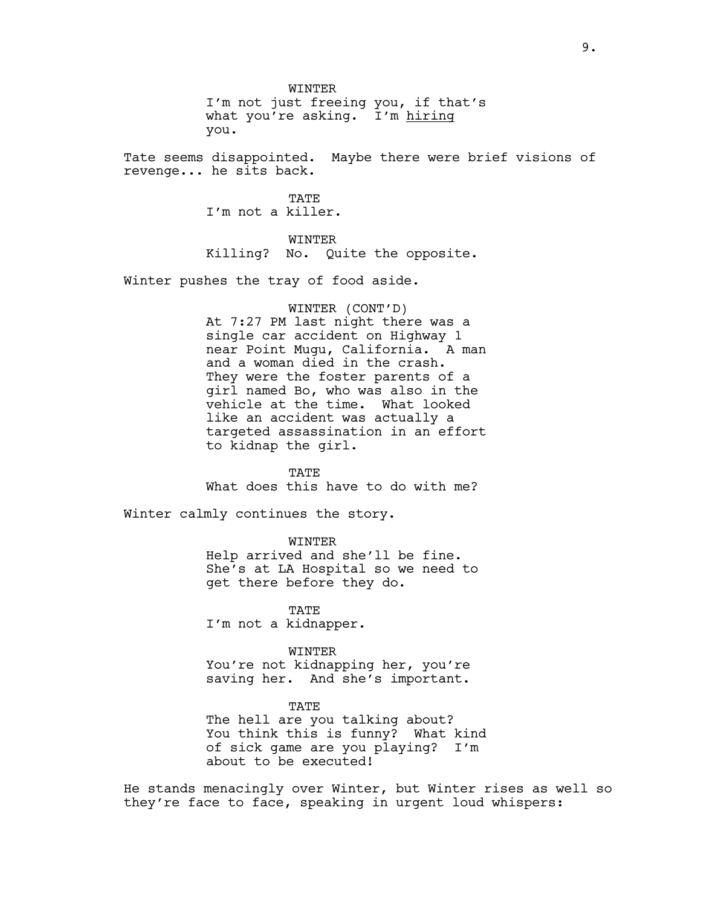WINTER I'm not just freeing you, if that's what you're asking. I'm hiring you.

Tate seems disappointed. Maybe there were brief visions of revenge... he sits back.

> **TATE** I'm not a killer.

WINTER Killing? No. Quite the opposite.

Winter pushes the tray of food aside.

WINTER (CONT'D) At 7:27 PM last night there was a single car accident on Highway 1 near Point Mugu, California. A man and a woman died in the crash. They were the foster parents of a girl named Bo, who was also in the vehicle at the time. What looked like an accident was actually a targeted assassination in an effort to kidnap the girl.

TATE What does this have to do with me?

Winter calmly continues the story.

WINTER Help arrived and she'll be fine. She's at LA Hospital so we need to get there before they do.

TATE I'm not a kidnapper.

WINTER You're not kidnapping her, you're saving her. And she's important.

TATE The hell are you talking about? You think this is funny? What kind of sick game are you playing? I'm about to be executed!

He stands menacingly over Winter, but Winter rises as well so they're face to face, speaking in urgent loud whispers: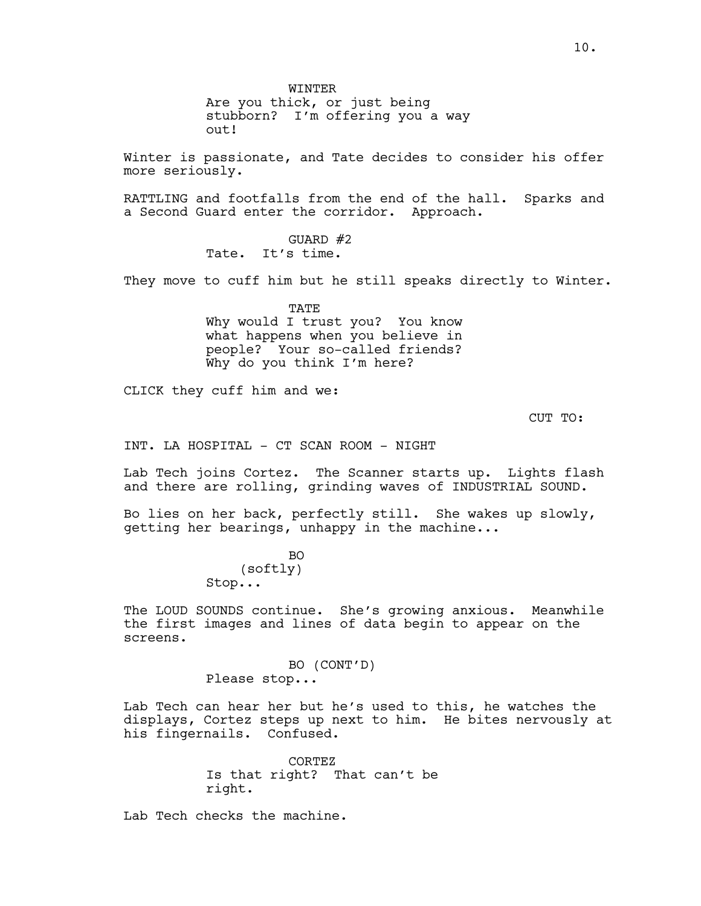**WINTER** 

Are you thick, or just being stubborn? I'm offering you a way out!

Winter is passionate, and Tate decides to consider his offer more seriously.

RATTLING and footfalls from the end of the hall. Sparks and a Second Guard enter the corridor. Approach.

> GUARD #2 Tate. It's time.

They move to cuff him but he still speaks directly to Winter.

TATE Why would I trust you? You know what happens when you believe in people? Your so-called friends? Why do you think I'm here?

CLICK they cuff him and we:

CUT TO:

INT. LA HOSPITAL - CT SCAN ROOM - NIGHT

Lab Tech joins Cortez. The Scanner starts up. Lights flash and there are rolling, grinding waves of INDUSTRIAL SOUND.

Bo lies on her back, perfectly still. She wakes up slowly, getting her bearings, unhappy in the machine...

> $BO$ (softly) Stop...

The LOUD SOUNDS continue. She's growing anxious. Meanwhile the first images and lines of data begin to appear on the screens.

> BO (CONT'D) Please stop...

Lab Tech can hear her but he's used to this, he watches the displays, Cortez steps up next to him. He bites nervously at his fingernails. Confused.

> CORTEZ Is that right? That can't be right.

Lab Tech checks the machine.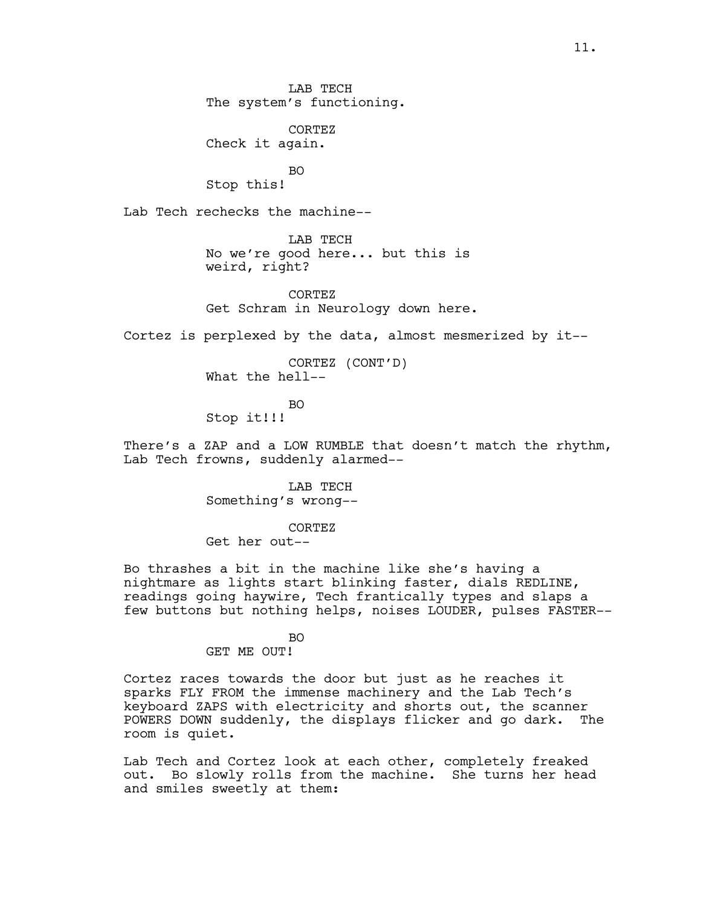LAB TECH The system's functioning.

CORTEZ Check it again.

BO Stop this!

Lab Tech rechecks the machine--

LAB TECH No we're good here... but this is weird, right?

CORTEZ Get Schram in Neurology down here.

Cortez is perplexed by the data, almost mesmerized by it--

CORTEZ (CONT'D) What the hell--

BO

Stop it!!!

There's a ZAP and a LOW RUMBLE that doesn't match the rhythm, Lab Tech frowns, suddenly alarmed--

> LAB TECH Something's wrong--

CORTEZ Get her out--

Bo thrashes a bit in the machine like she's having a nightmare as lights start blinking faster, dials REDLINE, readings going haywire, Tech frantically types and slaps a few buttons but nothing helps, noises LOUDER, pulses FASTER--

#### BO

GET ME OUT!

Cortez races towards the door but just as he reaches it sparks FLY FROM the immense machinery and the Lab Tech's keyboard ZAPS with electricity and shorts out, the scanner POWERS DOWN suddenly, the displays flicker and go dark. The room is quiet.

Lab Tech and Cortez look at each other, completely freaked out. Bo slowly rolls from the machine. She turns her head and smiles sweetly at them: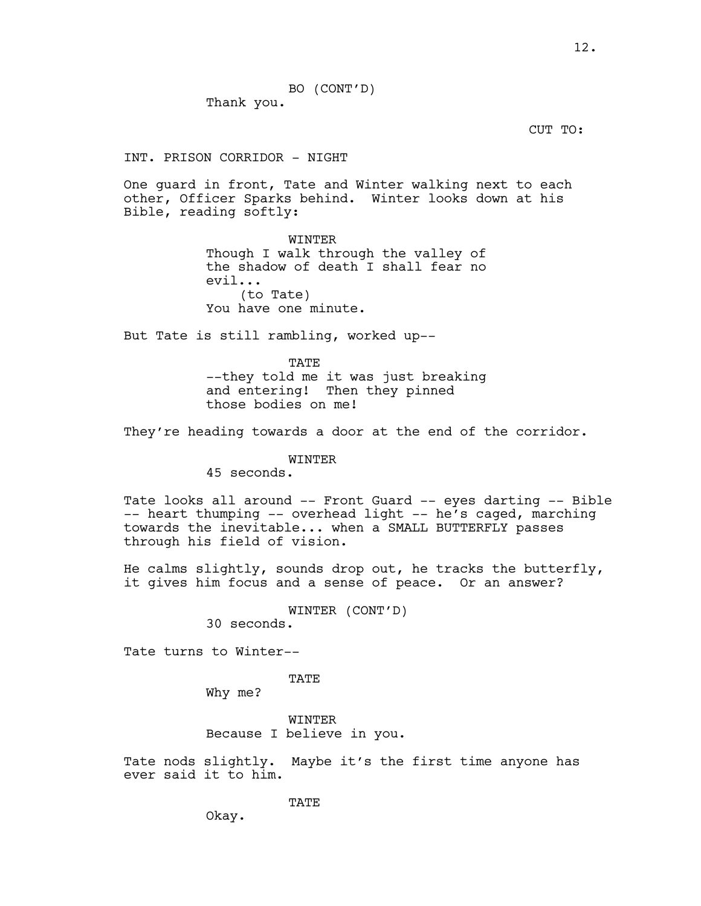BO (CONT'D) Thank you.

CUT TO:

INT. PRISON CORRIDOR - NIGHT

One guard in front, Tate and Winter walking next to each other, Officer Sparks behind. Winter looks down at his Bible, reading softly:

> WINTER Though I walk through the valley of the shadow of death I shall fear no evil... (to Tate) You have one minute.

But Tate is still rambling, worked up--

TATE --they told me it was just breaking and entering! Then they pinned those bodies on me!

They're heading towards a door at the end of the corridor.

# WINTER

45 seconds.

Tate looks all around -- Front Guard -- eyes darting -- Bible -- heart thumping -- overhead light -- he's caged, marching towards the inevitable... when a SMALL BUTTERFLY passes through his field of vision.

He calms slightly, sounds drop out, he tracks the butterfly, it gives him focus and a sense of peace. Or an answer?

WINTER (CONT'D)

30 seconds.

Tate turns to Winter--

TATE

Why me?

WINTER Because I believe in you.

Tate nods slightly. Maybe it's the first time anyone has ever said it to him.

TATE

Okay.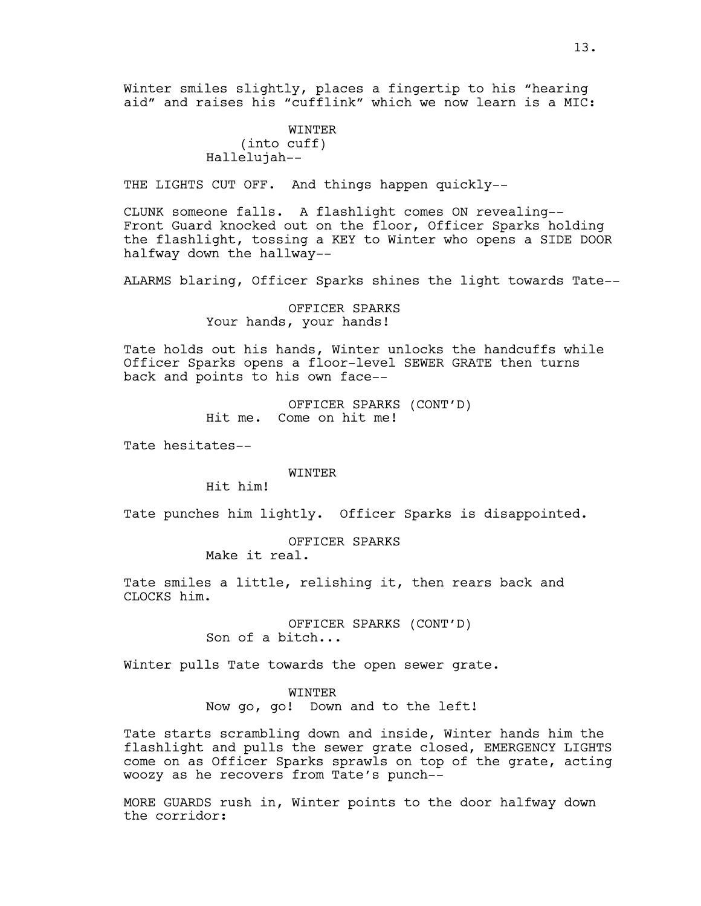Winter smiles slightly, places a fingertip to his "hearing aid" and raises his "cufflink" which we now learn is a MIC:

> WINTER (into cuff) Hallelujah--

THE LIGHTS CUT OFF. And things happen quickly--

CLUNK someone falls. A flashlight comes ON revealing-- Front Guard knocked out on the floor, Officer Sparks holding the flashlight, tossing a KEY to Winter who opens a SIDE DOOR halfway down the hallway--

ALARMS blaring, Officer Sparks shines the light towards Tate--

OFFICER SPARKS Your hands, your hands!

Tate holds out his hands, Winter unlocks the handcuffs while Officer Sparks opens a floor-level SEWER GRATE then turns back and points to his own face--

> OFFICER SPARKS (CONT'D) Hit me. Come on hit me!

Tate hesitates--

WINTER

Hit him!

Tate punches him lightly. Officer Sparks is disappointed.

OFFICER SPARKS Make it real.

Tate smiles a little, relishing it, then rears back and CLOCKS him.

> OFFICER SPARKS (CONT'D) Son of a bitch...

Winter pulls Tate towards the open sewer grate.

#### WINTER

Now go, go! Down and to the left!

Tate starts scrambling down and inside, Winter hands him the flashlight and pulls the sewer grate closed, EMERGENCY LIGHTS come on as Officer Sparks sprawls on top of the grate, acting woozy as he recovers from Tate's punch--

MORE GUARDS rush in, Winter points to the door halfway down the corridor: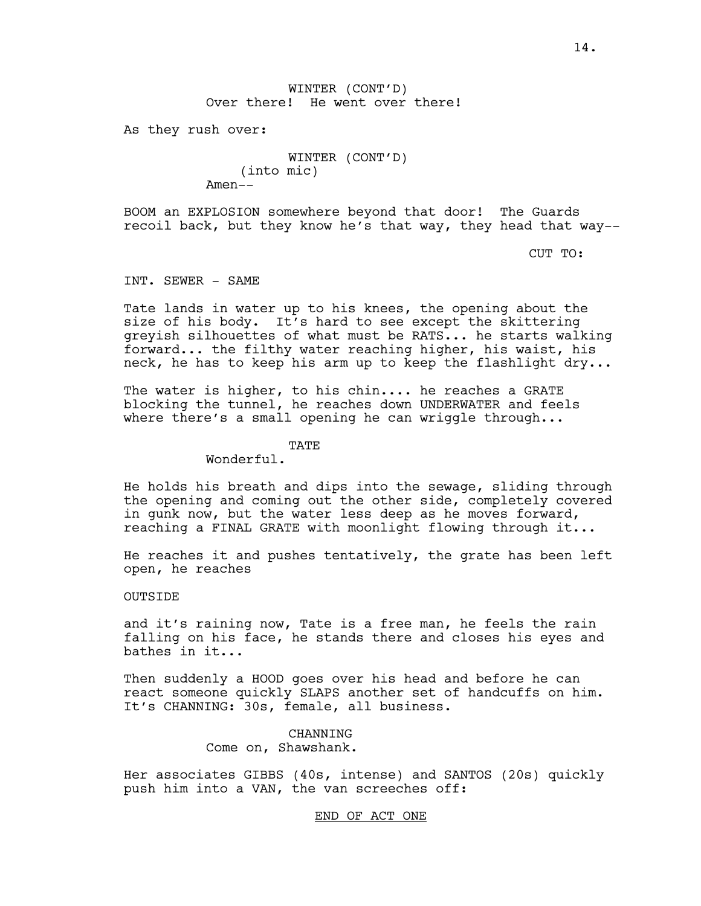14.

# WINTER (CONT'D) Over there! He went over there!

As they rush over:

WINTER (CONT'D) (into mic) Amen--

BOOM an EXPLOSION somewhere beyond that door! The Guards recoil back, but they know he's that way, they head that way--

CUT TO:

INT. SEWER - SAME

Tate lands in water up to his knees, the opening about the size of his body. It's hard to see except the skittering greyish silhouettes of what must be RATS... he starts walking forward... the filthy water reaching higher, his waist, his neck, he has to keep his arm up to keep the flashlight dry...

The water is higher, to his chin.... he reaches a GRATE blocking the tunnel, he reaches down UNDERWATER and feels where there's a small opening he can wriggle through...

TATE

Wonderful.

He holds his breath and dips into the sewage, sliding through the opening and coming out the other side, completely covered in gunk now, but the water less deep as he moves forward, reaching a FINAL GRATE with moonlight flowing through it...

He reaches it and pushes tentatively, the grate has been left open, he reaches

OUTSIDE

and it's raining now, Tate is a free man, he feels the rain falling on his face, he stands there and closes his eyes and bathes in it...

Then suddenly a HOOD goes over his head and before he can react someone quickly SLAPS another set of handcuffs on him. It's CHANNING: 30s, female, all business.

> CHANNING Come on, Shawshank.

Her associates GIBBS (40s, intense) and SANTOS (20s) quickly push him into a VAN, the van screeches off:

END OF ACT ONE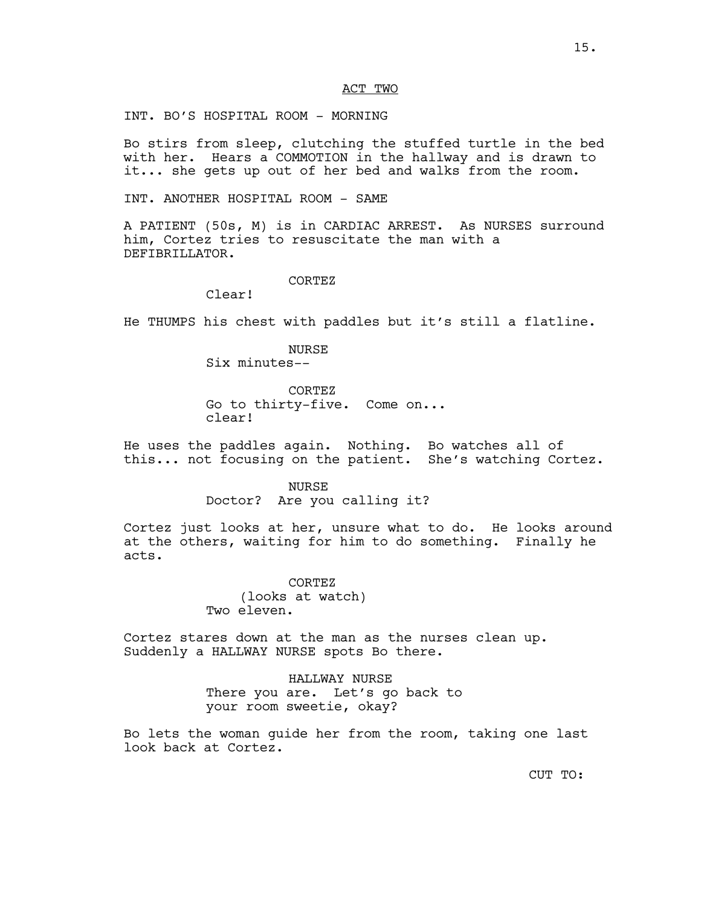## ACT TWO

INT. BO'S HOSPITAL ROOM - MORNING

Bo stirs from sleep, clutching the stuffed turtle in the bed with her. Hears a COMMOTION in the hallway and is drawn to it... she gets up out of her bed and walks from the room.

INT. ANOTHER HOSPITAL ROOM - SAME

A PATIENT (50s, M) is in CARDIAC ARREST. As NURSES surround him, Cortez tries to resuscitate the man with a DEFIBRILLATOR.

CORTEZ

Clear!

He THUMPS his chest with paddles but it's still a flatline.

NURSE Six minutes--

CORTEZ

Go to thirty-five. Come on...

clear!

He uses the paddles again. Nothing. Bo watches all of this... not focusing on the patient. She's watching Cortez.

NURSE

Doctor? Are you calling it?

Cortez just looks at her, unsure what to do. He looks around at the others, waiting for him to do something. Finally he acts.

> CORTEZ (looks at watch) Two eleven.

Cortez stares down at the man as the nurses clean up. Suddenly a HALLWAY NURSE spots Bo there.

> HALLWAY NURSE There you are. Let's go back to your room sweetie, okay?

Bo lets the woman guide her from the room, taking one last look back at Cortez.

CUT TO: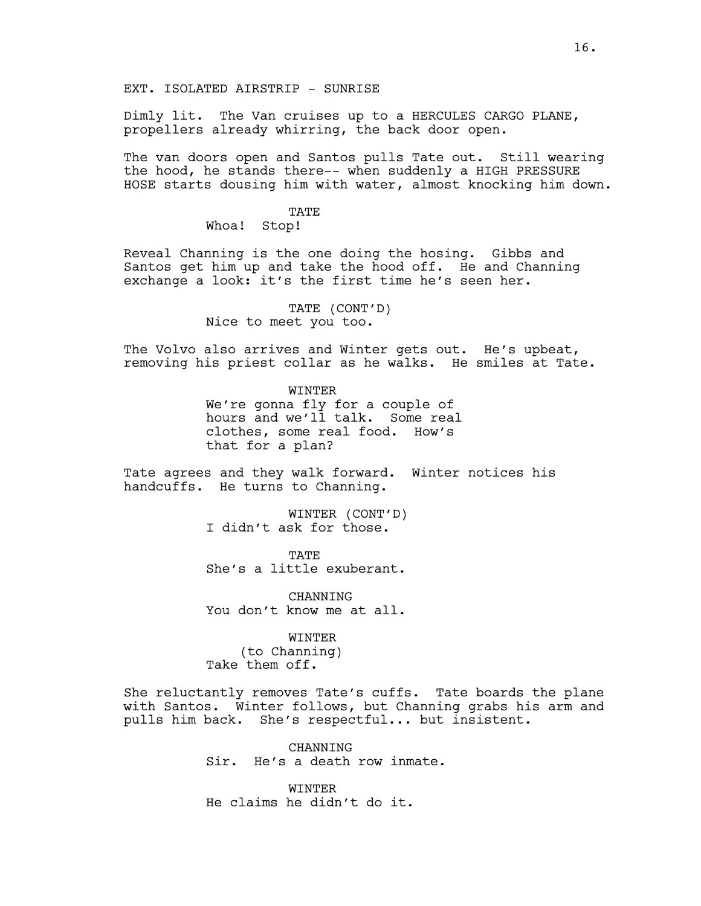EXT. ISOLATED AIRSTRIP - SUNRISE

Dimly lit. The Van cruises up to a HERCULES CARGO PLANE, propellers already whirring, the back door open.

The van doors open and Santos pulls Tate out. Still wearing the hood, he stands there-- when suddenly a HIGH PRESSURE HOSE starts dousing him with water, almost knocking him down.

#### TATE

Whoa! Stop!

Reveal Channing is the one doing the hosing. Gibbs and Santos get him up and take the hood off. He and Channing exchange a look: it's the first time he's seen her.

> TATE (CONT'D) Nice to meet you too.

The Volvo also arrives and Winter gets out. He's upbeat, removing his priest collar as he walks. He smiles at Tate.

> WINTER We're gonna fly for a couple of hours and we'll talk. Some real clothes, some real food. How's that for a plan?

Tate agrees and they walk forward. Winter notices his handcuffs. He turns to Channing.

> WINTER (CONT'D) I didn't ask for those.

> TATE She's a little exuberant.

> **CHANNING** You don't know me at all.

> > WINTER (to Channing)

Take them off.

She reluctantly removes Tate's cuffs. Tate boards the plane with Santos. Winter follows, but Channing grabs his arm and pulls him back. She's respectful... but insistent.

> **CHANNING** Sir. He's a death row inmate.

WINTER He claims he didn't do it.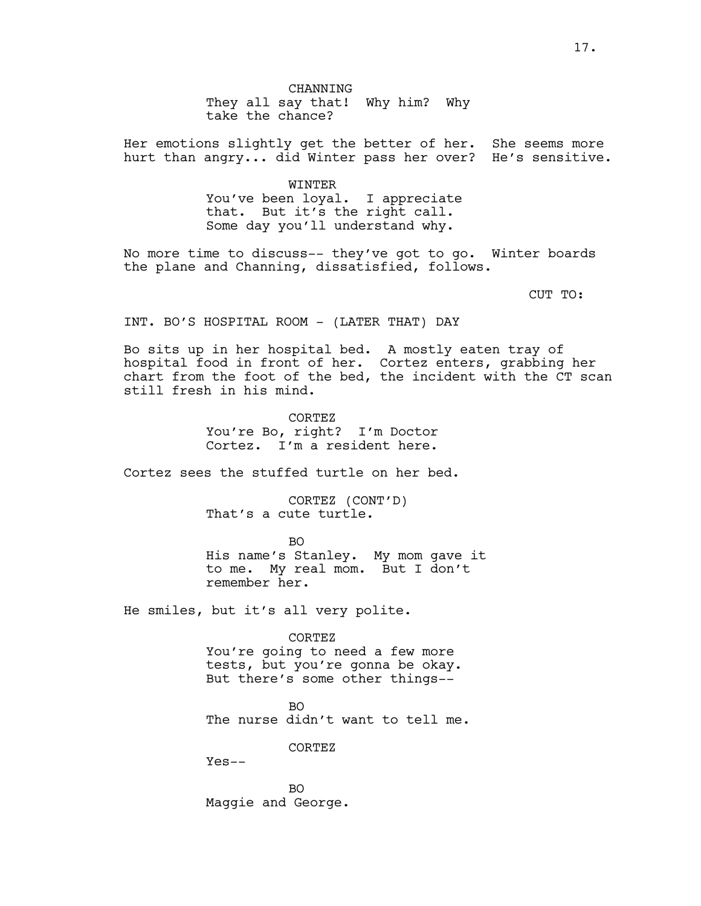Her emotions slightly get the better of her. She seems more hurt than angry... did Winter pass her over? He's sensitive.

> WINTER You've been loyal. I appreciate that. But it's the right call. Some day you'll understand why.

No more time to discuss-- they've got to go. Winter boards the plane and Channing, dissatisfied, follows.

CUT TO:

INT. BO'S HOSPITAL ROOM - (LATER THAT) DAY

Bo sits up in her hospital bed. A mostly eaten tray of hospital food in front of her. Cortez enters, grabbing her chart from the foot of the bed, the incident with the CT scan still fresh in his mind.

> CORTEZ You're Bo, right? I'm Doctor Cortez. I'm a resident here.

Cortez sees the stuffed turtle on her bed.

CORTEZ (CONT'D) That's a cute turtle.

BO His name's Stanley. My mom gave it to me. My real mom. But I don't remember her.

He smiles, but it's all very polite.

CORTEZ You're going to need a few more tests, but you're gonna be okay. But there's some other things--

BO The nurse didn't want to tell me.

CORTEZ

Yes--

BO Maggie and George.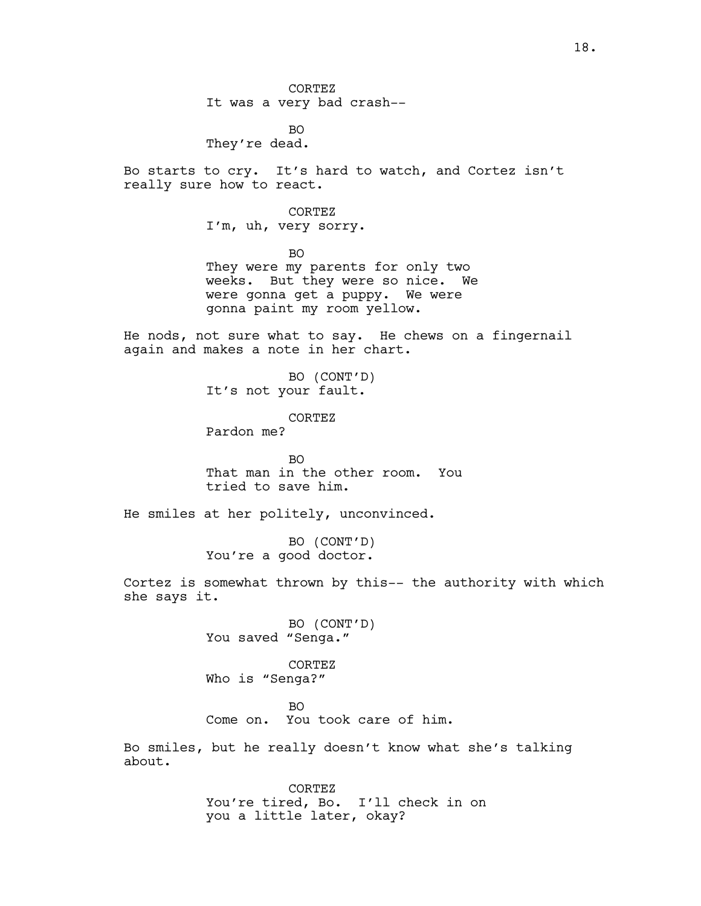CORTEZ It was a very bad crash--

BO They're dead.

Bo starts to cry. It's hard to watch, and Cortez isn't really sure how to react.

CORTEZ

I'm, uh, very sorry.

BO

They were my parents for only two weeks. But they were so nice. We were gonna get a puppy. We were gonna paint my room yellow.

He nods, not sure what to say. He chews on a fingernail again and makes a note in her chart.

> BO (CONT'D) It's not your fault.

CORTEZ Pardon me?

BO That man in the other room. You tried to save him.

He smiles at her politely, unconvinced.

BO (CONT'D) You're a good doctor.

Cortez is somewhat thrown by this-- the authority with which she says it.

> BO (CONT'D) You saved "Senga."

CORTEZ Who is "Senga?"

BO

Come on. You took care of him.

Bo smiles, but he really doesn't know what she's talking about.

> CORTEZ You're tired, Bo. I'll check in on you a little later, okay?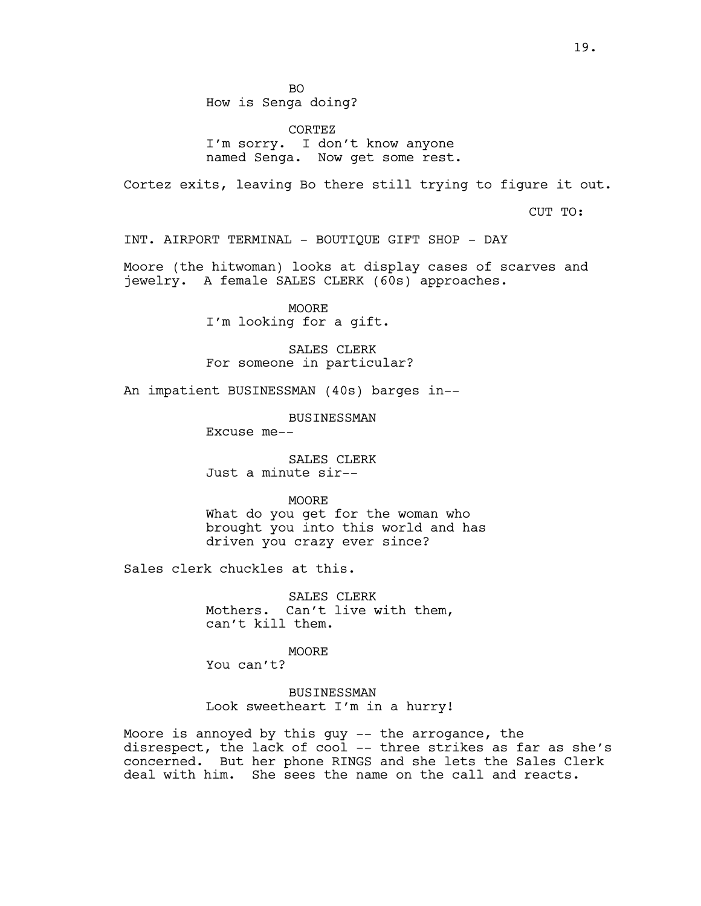CORTEZ I'm sorry. I don't know anyone named Senga. Now get some rest.

Cortez exits, leaving Bo there still trying to figure it out.

CUT TO:

INT. AIRPORT TERMINAL - BOUTIQUE GIFT SHOP - DAY

Moore (the hitwoman) looks at display cases of scarves and jewelry. A female SALES CLERK (60s) approaches.

> MOORE I'm looking for a gift.

SALES CLERK For someone in particular?

An impatient BUSINESSMAN (40s) barges in--

BUSINESSMAN

Excuse me--

SALES CLERK Just a minute sir--

MOORE

What do you get for the woman who brought you into this world and has driven you crazy ever since?

Sales clerk chuckles at this.

SALES CLERK Mothers. Can't live with them, can't kill them.

MOORE You can't?

BUSINESSMAN Look sweetheart I'm in a hurry!

Moore is annoyed by this guy -- the arrogance, the disrespect, the lack of cool -- three strikes as far as she's concerned. But her phone RINGS and she lets the Sales Clerk deal with him. She sees the name on the call and reacts.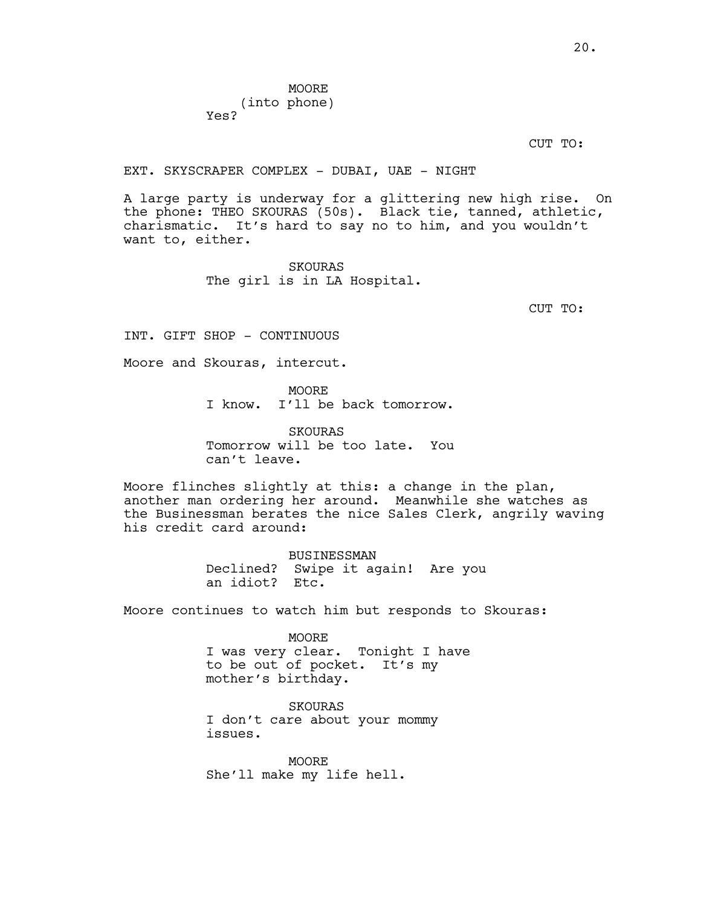CUT TO:

EXT. SKYSCRAPER COMPLEX - DUBAI, UAE - NIGHT

A large party is underway for a glittering new high rise. On the phone: THEO SKOURAS (50s). Black tie, tanned, athletic, charismatic. It's hard to say no to him, and you wouldn't want to, either.

> SKOURAS The girl is in LA Hospital.

> > CUT TO:

INT. GIFT SHOP - CONTINUOUS

Moore and Skouras, intercut.

**MOORE** 

I know. I'll be back tomorrow.

SKOURAS Tomorrow will be too late. You can't leave.

Moore flinches slightly at this: a change in the plan, another man ordering her around. Meanwhile she watches as the Businessman berates the nice Sales Clerk, angrily waving his credit card around:

> BUSINESSMAN Declined? Swipe it again! Are you an idiot? Etc.

Moore continues to watch him but responds to Skouras:

MOORE I was very clear. Tonight I have to be out of pocket. It's my mother's birthday.

SKOURAS I don't care about your mommy issues.

MOORE She'll make my life hell.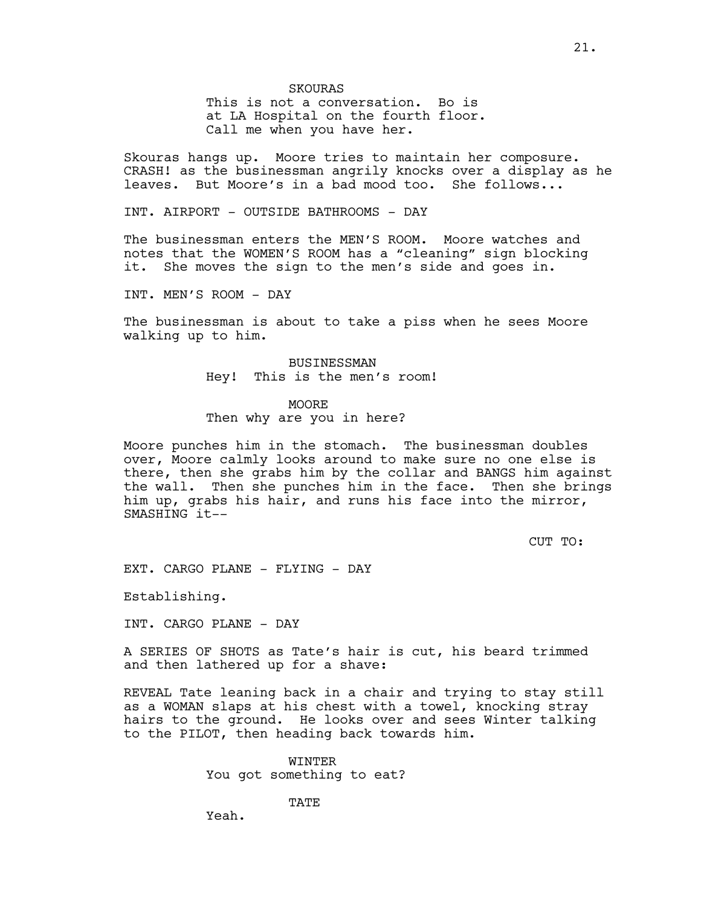This is not a conversation. Bo is at LA Hospital on the fourth floor. Call me when you have her.

Skouras hangs up. Moore tries to maintain her composure. CRASH! as the businessman angrily knocks over a display as he leaves. But Moore's in a bad mood too. She follows...

INT. AIRPORT - OUTSIDE BATHROOMS - DAY

The businessman enters the MEN'S ROOM. Moore watches and notes that the WOMEN'S ROOM has a "cleaning" sign blocking it. She moves the sign to the men's side and goes in.

INT. MEN'S ROOM - DAY

The businessman is about to take a piss when he sees Moore walking up to him.

> BUSINESSMAN Hey! This is the men's room!

#### MOORE

Then why are you in here?

Moore punches him in the stomach. The businessman doubles over, Moore calmly looks around to make sure no one else is there, then she grabs him by the collar and BANGS him against the wall. Then she punches him in the face. Then she brings him up, grabs his hair, and runs his face into the mirror, SMASHING it--

CUT TO:

EXT. CARGO PLANE - FLYING - DAY

Establishing.

INT. CARGO PLANE - DAY

A SERIES OF SHOTS as Tate's hair is cut, his beard trimmed and then lathered up for a shave:

REVEAL Tate leaning back in a chair and trying to stay still as a WOMAN slaps at his chest with a towel, knocking stray hairs to the ground. He looks over and sees Winter talking to the PILOT, then heading back towards him.

> WINTER You got something to eat?

> > TATE

Yeah.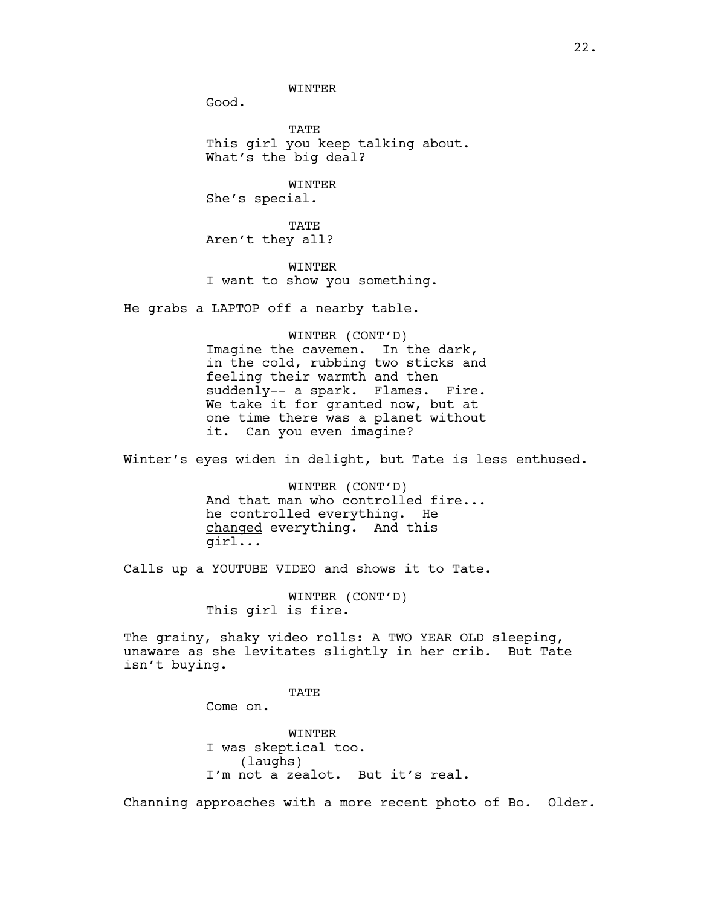WINTER

Good.

**TATE** This girl you keep talking about. What's the big deal?

WINTER She's special.

TATE Aren't they all?

WINTER I want to show you something.

He grabs a LAPTOP off a nearby table.

WINTER (CONT'D) Imagine the cavemen. In the dark, in the cold, rubbing two sticks and feeling their warmth and then suddenly-- a spark. Flames. Fire. We take it for granted now, but at one time there was a planet without it. Can you even imagine?

Winter's eyes widen in delight, but Tate is less enthused.

WINTER (CONT'D) And that man who controlled fire... he controlled everything. He changed everything. And this girl...

Calls up a YOUTUBE VIDEO and shows it to Tate.

WINTER (CONT'D) This girl is fire.

The grainy, shaky video rolls: A TWO YEAR OLD sleeping, unaware as she levitates slightly in her crib. But Tate isn't buying.

**TATE** 

Come on.

WINTER I was skeptical too. (laughs) I'm not a zealot. But it's real.

Channing approaches with a more recent photo of Bo. Older.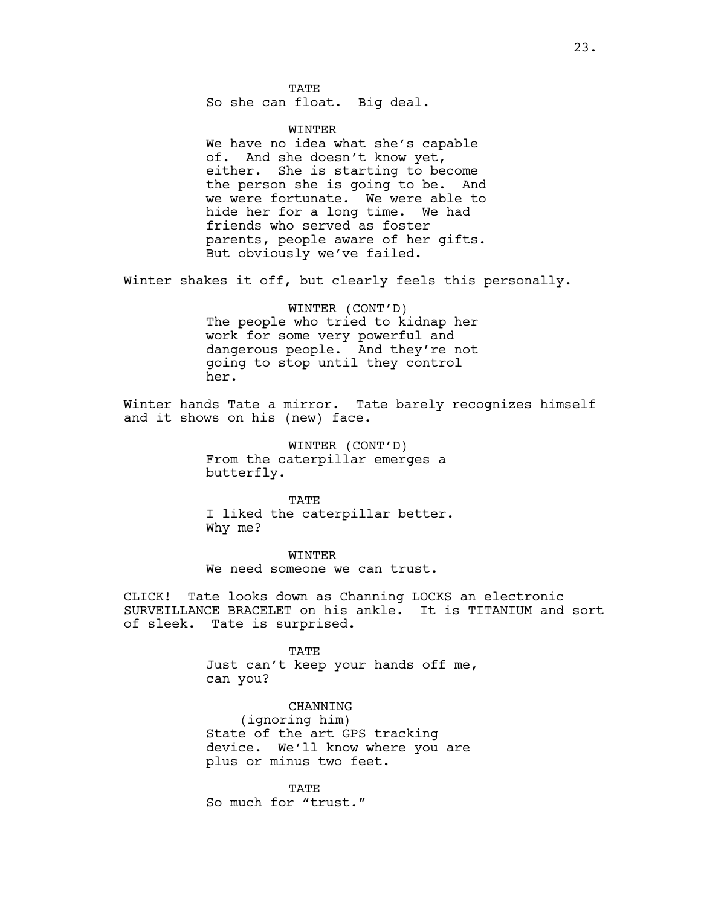**TATE** So she can float. Big deal.

WINTER

We have no idea what she's capable of. And she doesn't know yet, either. She is starting to become the person she is going to be. And we were fortunate. We were able to hide her for a long time. We had friends who served as foster parents, people aware of her gifts. But obviously we've failed.

Winter shakes it off, but clearly feels this personally.

WINTER (CONT'D) The people who tried to kidnap her work for some very powerful and dangerous people. And they're not going to stop until they control her.

Winter hands Tate a mirror. Tate barely recognizes himself and it shows on his (new) face.

> WINTER (CONT'D) From the caterpillar emerges a butterfly.

TATE I liked the caterpillar better. Why me?

WINTER We need someone we can trust.

CLICK! Tate looks down as Channing LOCKS an electronic SURVEILLANCE BRACELET on his ankle. It is TITANIUM and sort of sleek. Tate is surprised.

> TATE Just can't keep your hands off me, can you?

CHANNING (ignoring him) State of the art GPS tracking device. We'll know where you are plus or minus two feet.

TATE So much for "trust."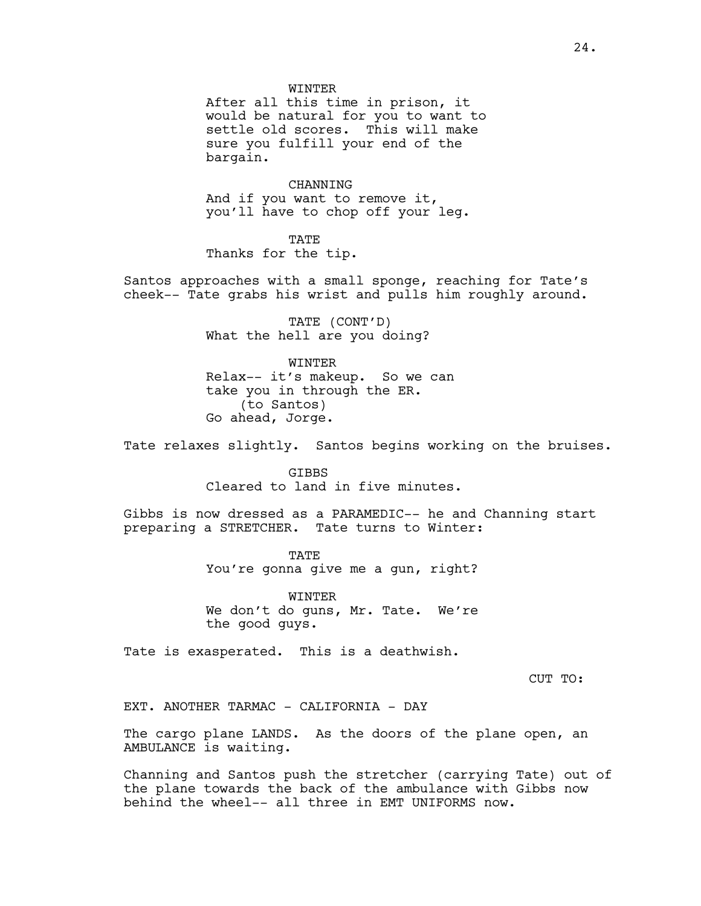#### WINTER

After all this time in prison, it would be natural for you to want to settle old scores. This will make sure you fulfill your end of the bargain.

CHANNING And if you want to remove it, you'll have to chop off your leg.

TATE Thanks for the tip.

Santos approaches with a small sponge, reaching for Tate's cheek-- Tate grabs his wrist and pulls him roughly around.

> TATE (CONT'D) What the hell are you doing?

WINTER Relax-- it's makeup. So we can take you in through the ER. (to Santos) Go ahead, Jorge.

Tate relaxes slightly. Santos begins working on the bruises.

GIBBS Cleared to land in five minutes.

Gibbs is now dressed as a PARAMEDIC-- he and Channing start preparing a STRETCHER. Tate turns to Winter:

> TATE You're gonna give me a gun, right?

> WINTER We don't do guns, Mr. Tate. We're the good guys.

Tate is exasperated. This is a deathwish.

CUT TO:

EXT. ANOTHER TARMAC - CALIFORNIA - DAY

The cargo plane LANDS. As the doors of the plane open, an AMBULANCE is waiting.

Channing and Santos push the stretcher (carrying Tate) out of the plane towards the back of the ambulance with Gibbs now behind the wheel-- all three in EMT UNIFORMS now.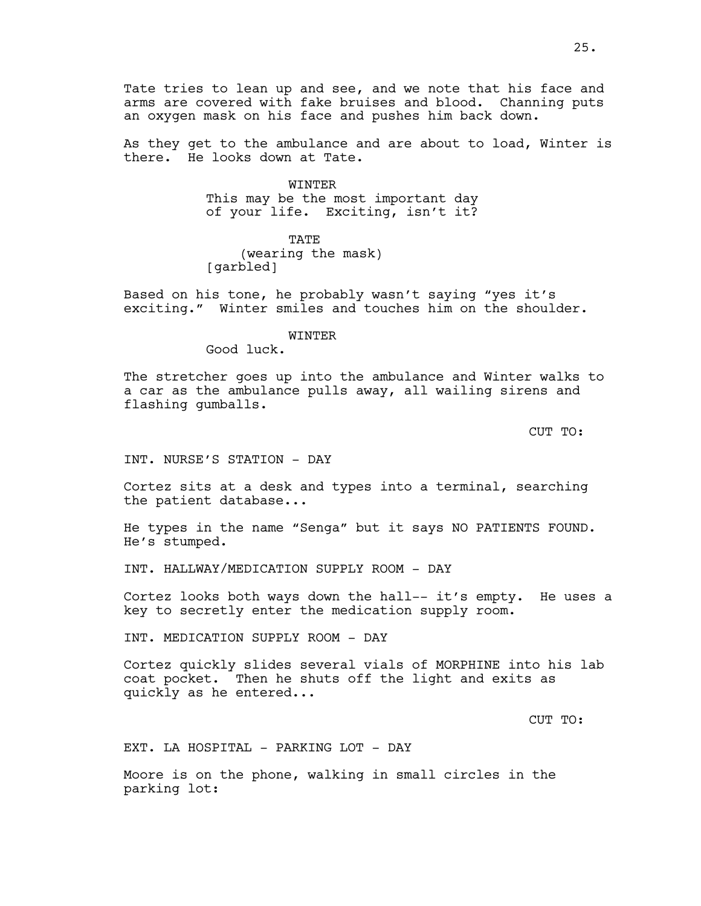Tate tries to lean up and see, and we note that his face and arms are covered with fake bruises and blood. Channing puts an oxygen mask on his face and pushes him back down.

As they get to the ambulance and are about to load, Winter is there. He looks down at Tate.

> WINTER This may be the most important day of your life. Exciting, isn't it?

**TATE** (wearing the mask) [garbled]

Based on his tone, he probably wasn't saying "yes it's exciting." Winter smiles and touches him on the shoulder.

#### WINTER

Good luck.

The stretcher goes up into the ambulance and Winter walks to a car as the ambulance pulls away, all wailing sirens and flashing gumballs.

CUT TO:

INT. NURSE'S STATION - DAY

Cortez sits at a desk and types into a terminal, searching the patient database...

He types in the name "Senga" but it says NO PATIENTS FOUND. He's stumped.

INT. HALLWAY/MEDICATION SUPPLY ROOM - DAY

Cortez looks both ways down the hall-- it's empty. He uses a key to secretly enter the medication supply room.

INT. MEDICATION SUPPLY ROOM - DAY

Cortez quickly slides several vials of MORPHINE into his lab coat pocket. Then he shuts off the light and exits as quickly as he entered...

CUT TO:

EXT. LA HOSPITAL - PARKING LOT - DAY

Moore is on the phone, walking in small circles in the parking lot: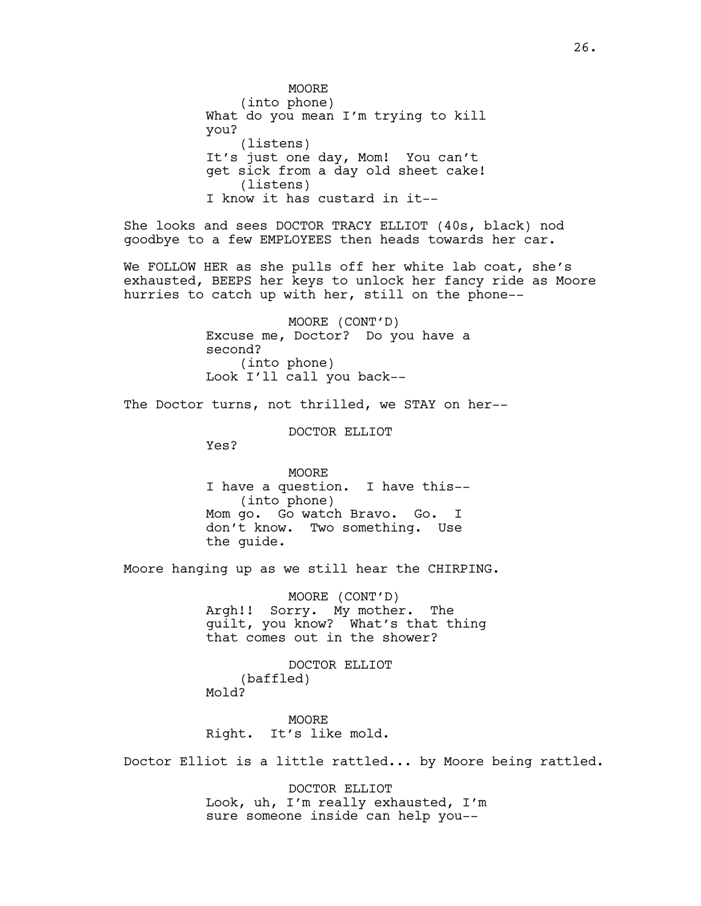**MOORE** (into phone) What do you mean I'm trying to kill you? (listens) It's just one day, Mom! You can't get sick from a day old sheet cake! (listens) I know it has custard in it--

She looks and sees DOCTOR TRACY ELLIOT (40s, black) nod goodbye to a few EMPLOYEES then heads towards her car.

We FOLLOW HER as she pulls off her white lab coat, she's exhausted, BEEPS her keys to unlock her fancy ride as Moore hurries to catch up with her, still on the phone--

> MOORE (CONT'D) Excuse me, Doctor? Do you have a second? (into phone) Look I'll call you back--

The Doctor turns, not thrilled, we STAY on her--

DOCTOR ELLIOT

Yes?

MOORE I have a question. I have this-- (into phone) Mom go. Go watch Bravo. Go. I don't know. Two something. Use the guide.

Moore hanging up as we still hear the CHIRPING.

MOORE (CONT'D) Argh!! Sorry. My mother. The guilt, you know? What's that thing that comes out in the shower?

DOCTOR ELLIOT (baffled) Mold?

**MOORE** Right. It's like mold.

Doctor Elliot is a little rattled... by Moore being rattled.

DOCTOR ELLIOT Look, uh, I'm really exhausted, I'm sure someone inside can help you--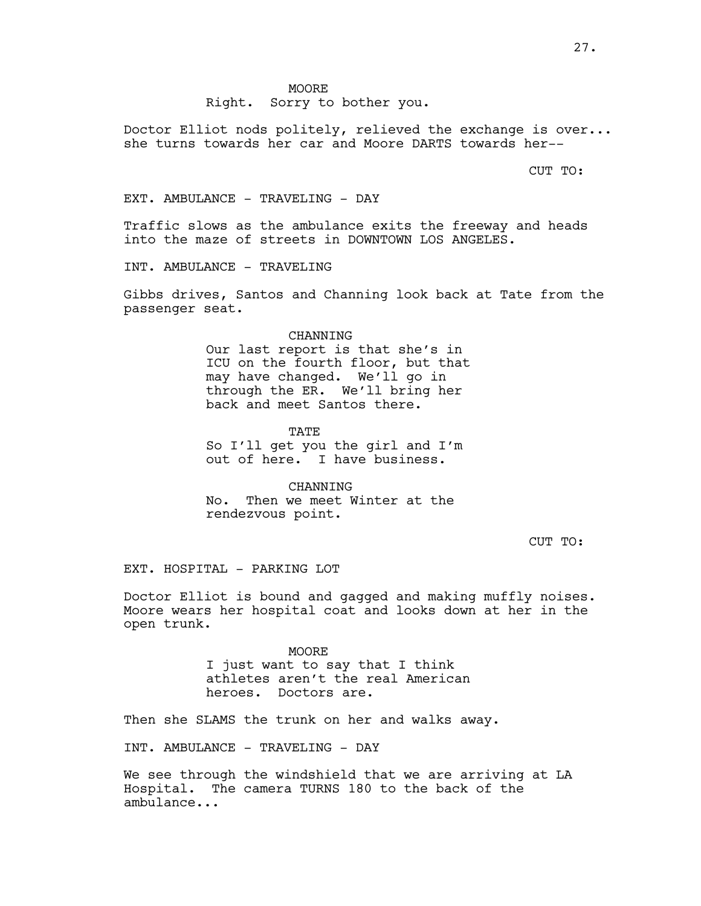**MOORE** Right. Sorry to bother you.

Doctor Elliot nods politely, relieved the exchange is over... she turns towards her car and Moore DARTS towards her--

CUT TO:

EXT. AMBULANCE - TRAVELING - DAY

Traffic slows as the ambulance exits the freeway and heads into the maze of streets in DOWNTOWN LOS ANGELES.

INT. AMBULANCE - TRAVELING

Gibbs drives, Santos and Channing look back at Tate from the passenger seat.

#### CHANNING

Our last report is that she's in ICU on the fourth floor, but that may have changed. We'll go in through the ER. We'll bring her back and meet Santos there.

TATE

So I'll get you the girl and I'm out of here. I have business.

CHANNING No. Then we meet Winter at the rendezvous point.

CUT TO:

EXT. HOSPITAL - PARKING LOT

Doctor Elliot is bound and gagged and making muffly noises. Moore wears her hospital coat and looks down at her in the open trunk.

> MOORE I just want to say that I think athletes aren't the real American heroes. Doctors are.

Then she SLAMS the trunk on her and walks away.

INT. AMBULANCE - TRAVELING - DAY

We see through the windshield that we are arriving at LA Hospital. The camera TURNS 180 to the back of the ambulance...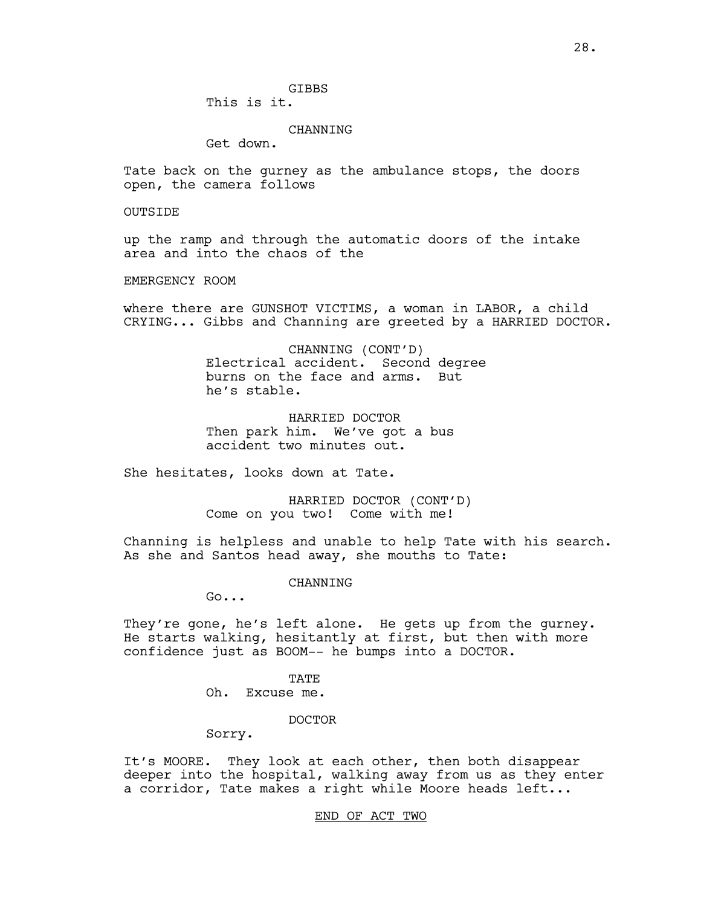**GTBBS** 

This is it.

### CHANNING

Get down.

Tate back on the gurney as the ambulance stops, the doors open, the camera follows

OUTSIDE

up the ramp and through the automatic doors of the intake area and into the chaos of the

EMERGENCY ROOM

where there are GUNSHOT VICTIMS, a woman in LABOR, a child CRYING... Gibbs and Channing are greeted by a HARRIED DOCTOR.

> CHANNING (CONT'D) Electrical accident. Second degree burns on the face and arms. But he's stable.

HARRIED DOCTOR Then park him. We've got a bus accident two minutes out.

She hesitates, looks down at Tate.

HARRIED DOCTOR (CONT'D) Come on you two! Come with me!

Channing is helpless and unable to help Tate with his search. As she and Santos head away, she mouths to Tate:

CHANNING

Go...

They're gone, he's left alone. He gets up from the gurney. He starts walking, hesitantly at first, but then with more confidence just as BOOM-- he bumps into a DOCTOR.

> TATE Oh. Excuse me.

> > DOCTOR

Sorry.

It's MOORE. They look at each other, then both disappear deeper into the hospital, walking away from us as they enter a corridor, Tate makes a right while Moore heads left...

END OF ACT TWO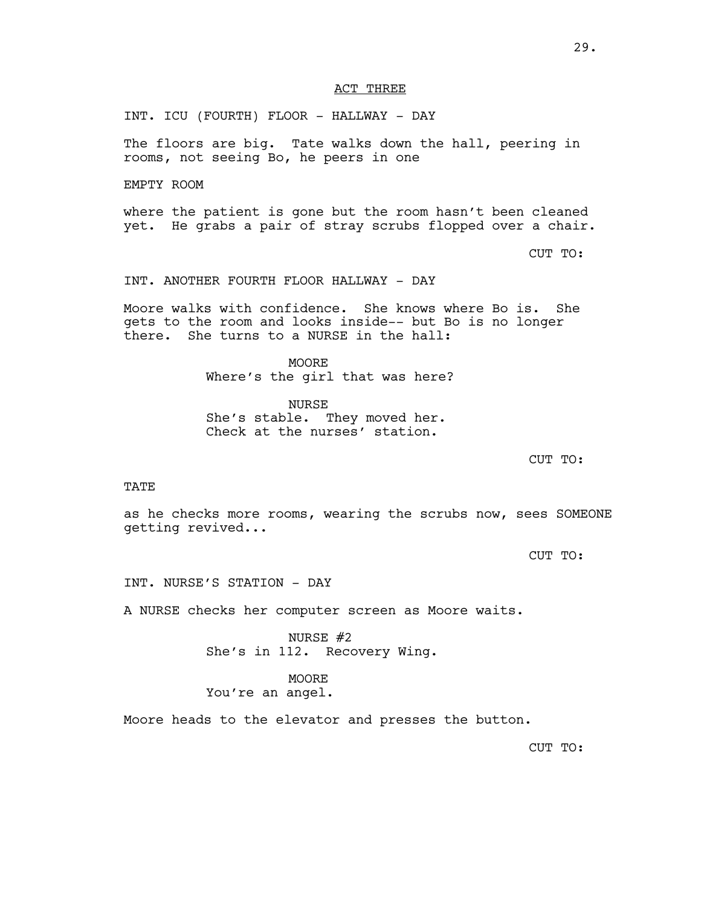## ACT THREE

INT. ICU (FOURTH) FLOOR - HALLWAY - DAY

The floors are big. Tate walks down the hall, peering in rooms, not seeing Bo, he peers in one

EMPTY ROOM

where the patient is gone but the room hasn't been cleaned yet. He grabs a pair of stray scrubs flopped over a chair.

CUT TO:

INT. ANOTHER FOURTH FLOOR HALLWAY - DAY

Moore walks with confidence. She knows where Bo is. She gets to the room and looks inside-- but Bo is no longer there. She turns to a NURSE in the hall:

> **MOORE** Where's the girl that was here?

NURSE She's stable. They moved her. Check at the nurses' station.

CUT TO:

TATE

as he checks more rooms, wearing the scrubs now, sees SOMEONE getting revived...

CUT TO:

INT. NURSE'S STATION - DAY

A NURSE checks her computer screen as Moore waits.

NURSE #2 She's in 112. Recovery Wing.

MOORE You're an angel.

Moore heads to the elevator and presses the button.

CUT TO: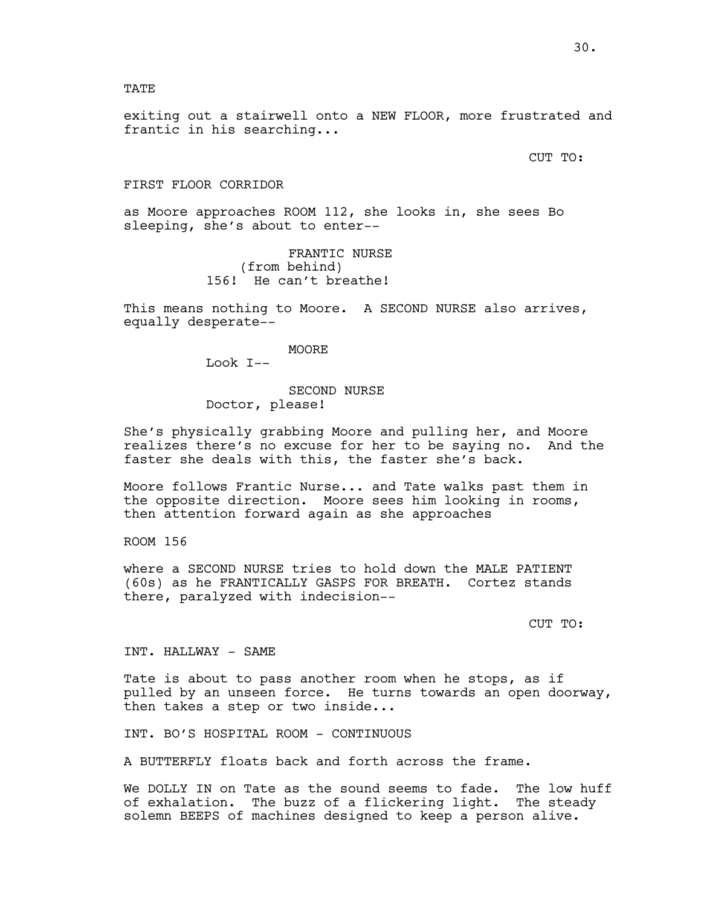## TATE

exiting out a stairwell onto a NEW FLOOR, more frustrated and frantic in his searching...

CUT TO:

#### FIRST FLOOR CORRIDOR

as Moore approaches ROOM 112, she looks in, she sees Bo sleeping, she's about to enter--

> FRANTIC NURSE (from behind) 156! He can't breathe!

This means nothing to Moore. A SECOND NURSE also arrives, equally desperate--

#### MOORE

Look I--

# SECOND NURSE Doctor, please!

She's physically grabbing Moore and pulling her, and Moore realizes there's no excuse for her to be saying no. And the faster she deals with this, the faster she's back.

Moore follows Frantic Nurse... and Tate walks past them in the opposite direction. Moore sees him looking in rooms, then attention forward again as she approaches

ROOM 156

where a SECOND NURSE tries to hold down the MALE PATIENT (60s) as he FRANTICALLY GASPS FOR BREATH. Cortez stands there, paralyzed with indecision--

CUT TO:

INT. HALLWAY - SAME

Tate is about to pass another room when he stops, as if pulled by an unseen force. He turns towards an open doorway, then takes a step or two inside...

INT. BO'S HOSPITAL ROOM - CONTINUOUS

A BUTTERFLY floats back and forth across the frame.

We DOLLY IN on Tate as the sound seems to fade. The low huff of exhalation. The buzz of a flickering light. The steady solemn BEEPS of machines designed to keep a person alive.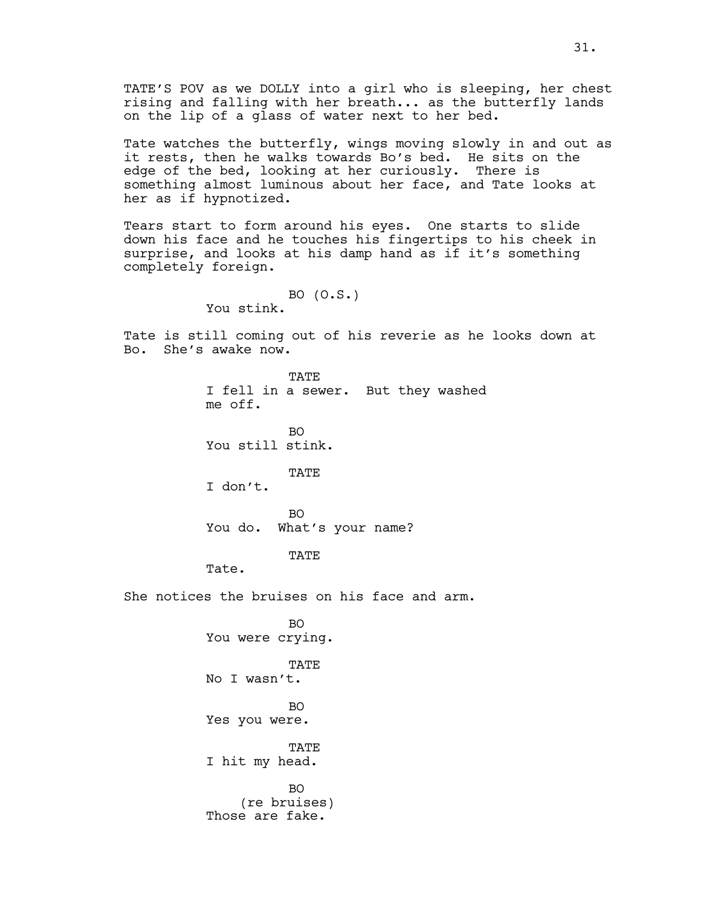Tate watches the butterfly, wings moving slowly in and out as it rests, then he walks towards Bo's bed. He sits on the edge of the bed, looking at her curiously. There is something almost luminous about her face, and Tate looks at her as if hypnotized.

Tears start to form around his eyes. One starts to slide down his face and he touches his fingertips to his cheek in surprise, and looks at his damp hand as if it's something completely foreign.

```
BO (O.S.)
You stink.
```
Tate is still coming out of his reverie as he looks down at Bo. She's awake now.

> TATE I fell in a sewer. But they washed me off.

BO You still stink.

TATE

I don't.

BO You do. What's your name?

TATE

Tate.

She notices the bruises on his face and arm.

BO You were crying. **TATE** No I wasn't. BO Yes you were. TATE I hit my head. BO (re bruises) Those are fake.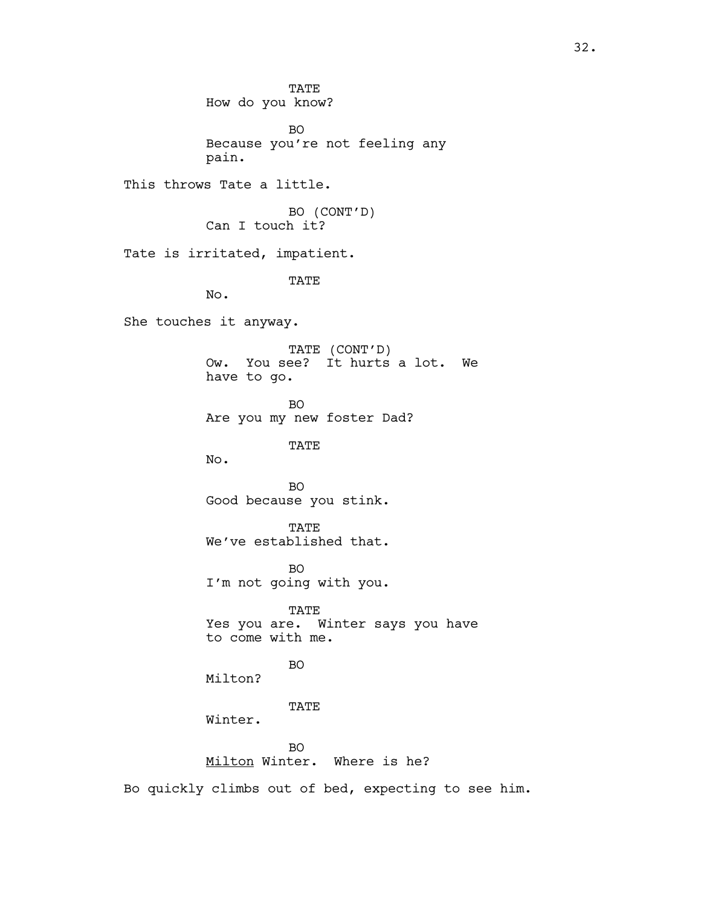TATE How do you know?

BO Because you're not feeling any pain.

This throws Tate a little.

BO (CONT'D) Can I touch it?

Tate is irritated, impatient.

TATE

No.

She touches it anyway.

TATE (CONT'D) Ow. You see? It hurts a lot. We have to go.

BO Are you my new foster Dad?

TATE

No.

BO Good because you stink.

TATE We've established that.

BO I'm not going with you.

TATE Yes you are. Winter says you have to come with me.

BO

Milton?

TATE

Winter.

BO Milton Winter. Where is he?

Bo quickly climbs out of bed, expecting to see him.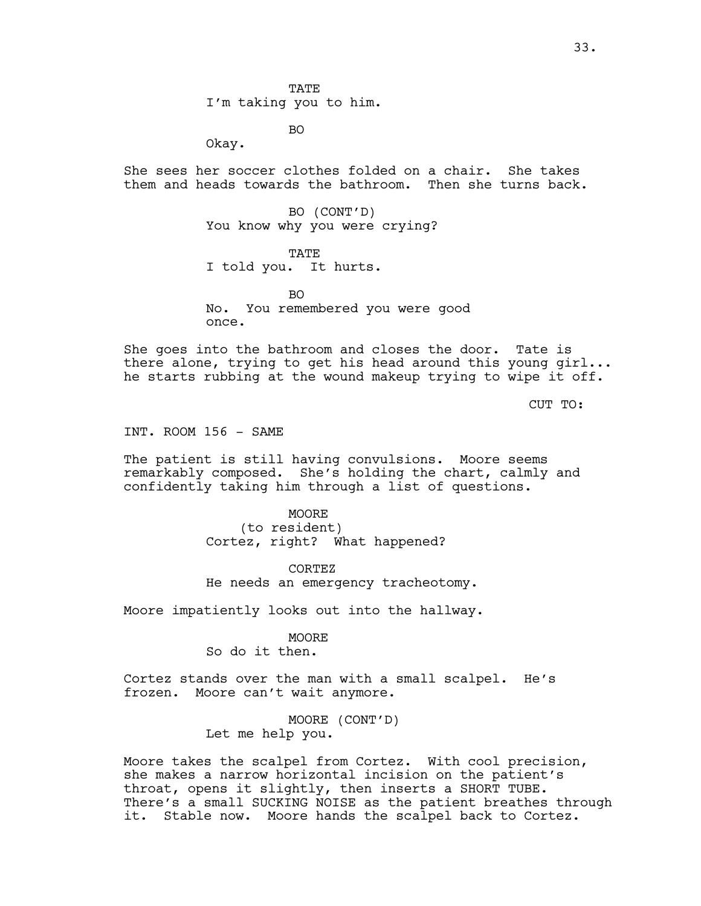**TATE** I'm taking you to him.

BO

Okay.

She sees her soccer clothes folded on a chair. She takes them and heads towards the bathroom. Then she turns back.

> BO (CONT'D) You know why you were crying?

TATE I told you. It hurts.

 $B<sub>O</sub>$ No. You remembered you were good once.

She goes into the bathroom and closes the door. Tate is there alone, trying to get his head around this young girl... he starts rubbing at the wound makeup trying to wipe it off.

CUT TO:

INT. ROOM 156 - SAME

The patient is still having convulsions. Moore seems remarkably composed. She's holding the chart, calmly and confidently taking him through a list of questions.

> MOORE (to resident) Cortez, right? What happened?

CORTEZ He needs an emergency tracheotomy.

Moore impatiently looks out into the hallway.

MOORE

So do it then.

Cortez stands over the man with a small scalpel. He's frozen. Moore can't wait anymore.

> MOORE (CONT'D) Let me help you.

Moore takes the scalpel from Cortez. With cool precision, she makes a narrow horizontal incision on the patient's throat, opens it slightly, then inserts a SHORT TUBE. There's a small SUCKING NOISE as the patient breathes through it. Stable now. Moore hands the scalpel back to Cortez.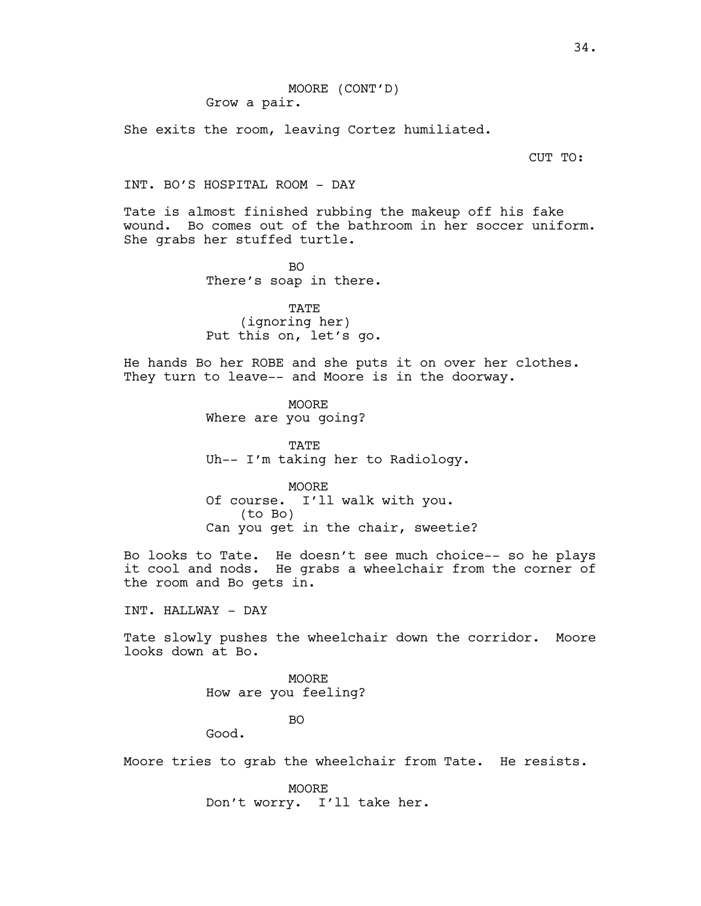She exits the room, leaving Cortez humiliated.

CUT TO:

## INT. BO'S HOSPITAL ROOM - DAY

Tate is almost finished rubbing the makeup off his fake wound. Bo comes out of the bathroom in her soccer uniform. She grabs her stuffed turtle.

> $BO$ There's soap in there.

> TATE (ignoring her) Put this on, let's go.

He hands Bo her ROBE and she puts it on over her clothes. They turn to leave-- and Moore is in the doorway.

> MOORE Where are you going?

TATE Uh-- I'm taking her to Radiology.

MOORE Of course. I'll walk with you. (to Bo) Can you get in the chair, sweetie?

Bo looks to Tate. He doesn't see much choice-- so he plays it cool and nods. He grabs a wheelchair from the corner of the room and Bo gets in.

INT. HALLWAY - DAY

Tate slowly pushes the wheelchair down the corridor. Moore looks down at Bo.

> MOORE How are you feeling?

> > BO

Good.

Moore tries to grab the wheelchair from Tate. He resists.

MOORE Don't worry. I'll take her.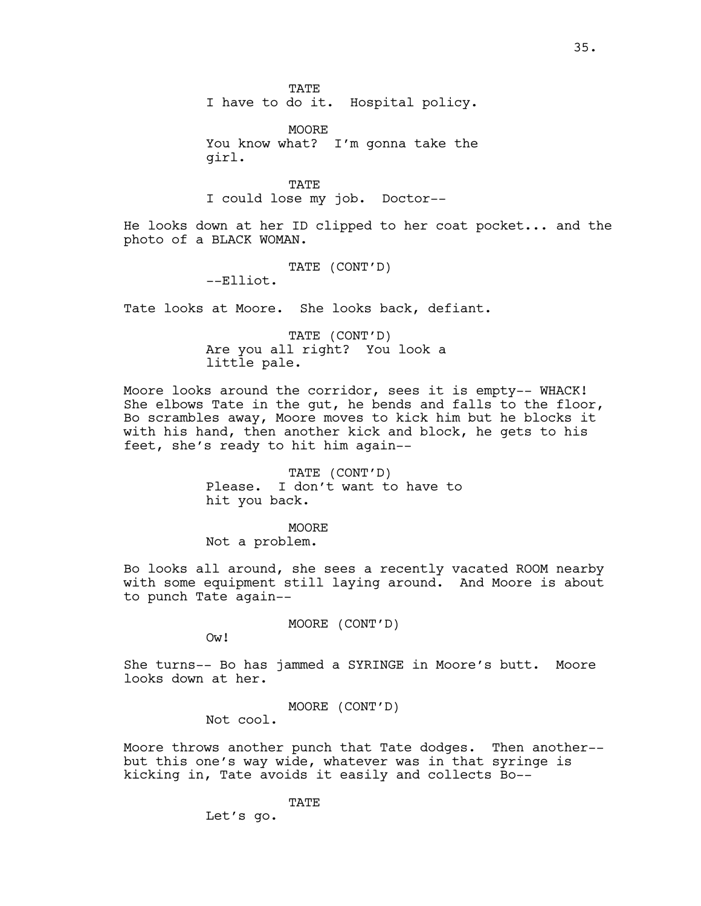**TATE** 

I have to do it. Hospital policy.

MOORE You know what? I'm gonna take the girl.

TATE I could lose my job. Doctor--

He looks down at her ID clipped to her coat pocket... and the photo of a BLACK WOMAN.

TATE (CONT'D)

--Elliot.

Tate looks at Moore. She looks back, defiant.

TATE (CONT'D) Are you all right? You look a little pale.

Moore looks around the corridor, sees it is empty-- WHACK! She elbows Tate in the gut, he bends and falls to the floor, Bo scrambles away, Moore moves to kick him but he blocks it with his hand, then another kick and block, he gets to his feet, she's ready to hit him again--

> TATE (CONT'D) Please. I don't want to have to hit you back.

MOORE Not a problem.

Bo looks all around, she sees a recently vacated ROOM nearby with some equipment still laying around. And Moore is about to punch Tate again--

MOORE (CONT'D)

Ow!

She turns-- Bo has jammed a SYRINGE in Moore's butt. Moore looks down at her.

MOORE (CONT'D)

Not cool.

Moore throws another punch that Tate dodges. Then another- but this one's way wide, whatever was in that syringe is kicking in, Tate avoids it easily and collects Bo--

TATE

Let's go.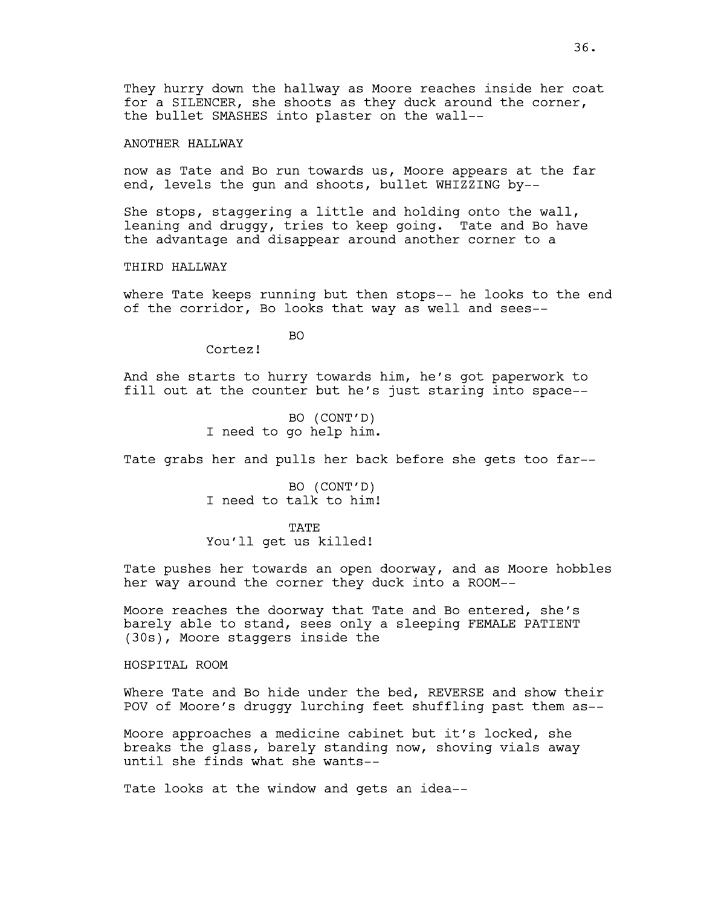They hurry down the hallway as Moore reaches inside her coat for a SILENCER, she shoots as they duck around the corner, the bullet SMASHES into plaster on the wall--

ANOTHER HALLWAY

now as Tate and Bo run towards us, Moore appears at the far end, levels the gun and shoots, bullet WHIZZING by--

She stops, staggering a little and holding onto the wall, leaning and druggy, tries to keep going. Tate and Bo have the advantage and disappear around another corner to a

THIRD HALLWAY

where Tate keeps running but then stops-- he looks to the end of the corridor, Bo looks that way as well and sees--

BO

Cortez!

And she starts to hurry towards him, he's got paperwork to fill out at the counter but he's just staring into space--

> BO (CONT'D) I need to go help him.

Tate grabs her and pulls her back before she gets too far--

BO (CONT'D) I need to talk to him!

TATE You'll get us killed!

Tate pushes her towards an open doorway, and as Moore hobbles her way around the corner they duck into a ROOM--

Moore reaches the doorway that Tate and Bo entered, she's barely able to stand, sees only a sleeping FEMALE PATIENT (30s), Moore staggers inside the

HOSPITAL ROOM

Where Tate and Bo hide under the bed, REVERSE and show their POV of Moore's druggy lurching feet shuffling past them as--

Moore approaches a medicine cabinet but it's locked, she breaks the glass, barely standing now, shoving vials away until she finds what she wants--

Tate looks at the window and gets an idea--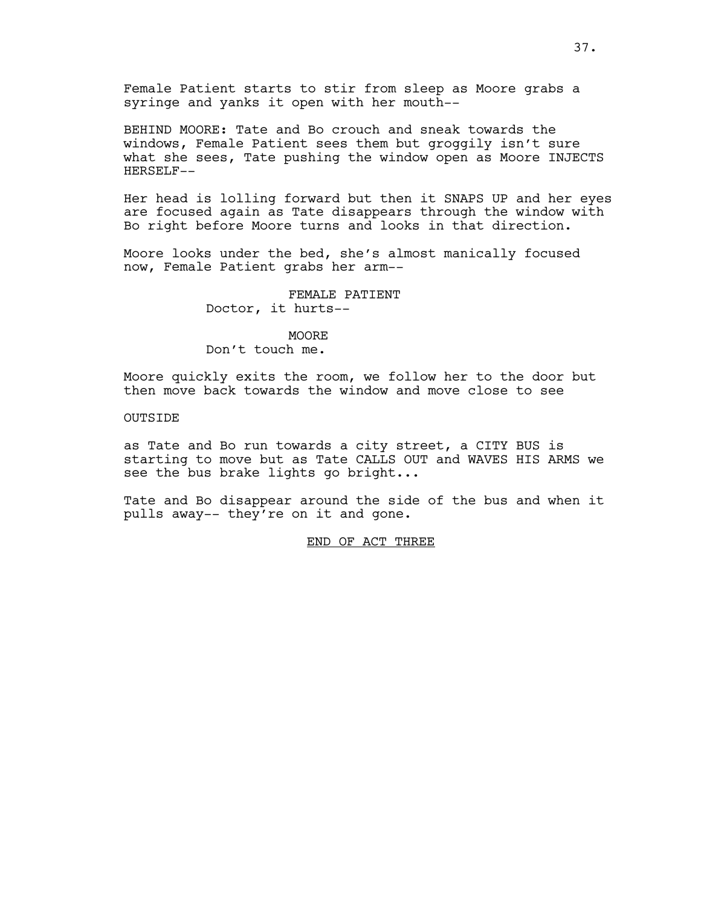Female Patient starts to stir from sleep as Moore grabs a syringe and yanks it open with her mouth--

BEHIND MOORE: Tate and Bo crouch and sneak towards the windows, Female Patient sees them but groggily isn't sure what she sees, Tate pushing the window open as Moore INJECTS HERSELF--

Her head is lolling forward but then it SNAPS UP and her eyes are focused again as Tate disappears through the window with Bo right before Moore turns and looks in that direction.

Moore looks under the bed, she's almost manically focused now, Female Patient grabs her arm--

> FEMALE PATIENT Doctor, it hurts--

MOORE Don't touch me.

Moore quickly exits the room, we follow her to the door but then move back towards the window and move close to see

**OUTSIDE** 

as Tate and Bo run towards a city street, a CITY BUS is starting to move but as Tate CALLS OUT and WAVES HIS ARMS we see the bus brake lights go bright...

Tate and Bo disappear around the side of the bus and when it pulls away-- they're on it and gone.

END OF ACT THREE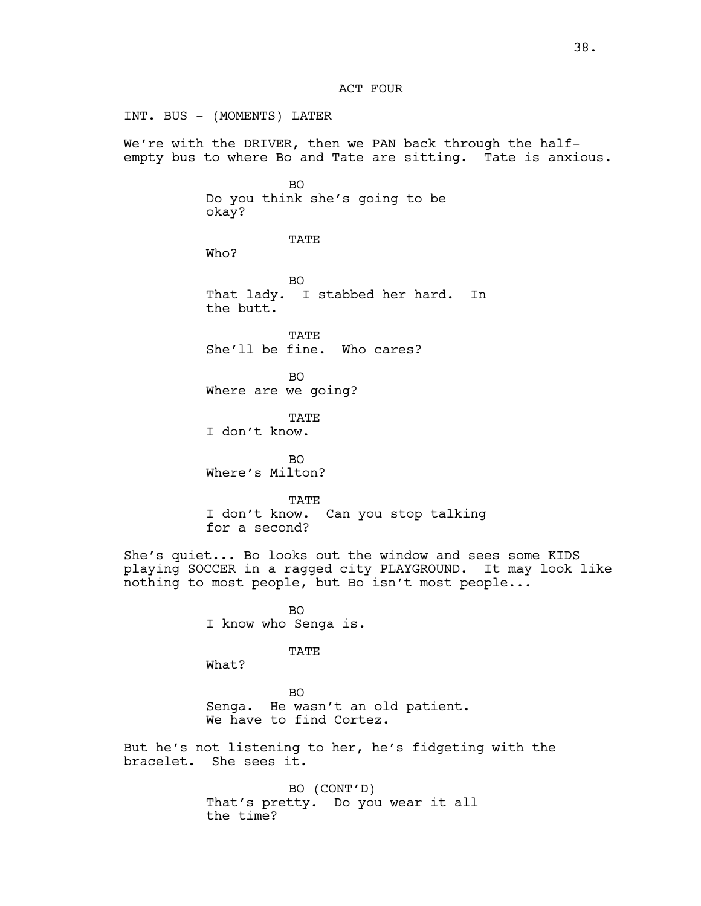INT. BUS - (MOMENTS) LATER We're with the DRIVER, then we PAN back through the halfempty bus to where Bo and Tate are sitting. Tate is anxious. BO Do you think she's going to be okay? TATE Who? BO That lady. I stabbed her hard. In the butt. TATE She'll be fine. Who cares? BO Where are we going? TATE I don't know. BO Where's Milton? TATE I don't know. Can you stop talking for a second? She's quiet... Bo looks out the window and sees some KIDS playing SOCCER in a ragged city PLAYGROUND. It may look like nothing to most people, but Bo isn't most people... BO I know who Senga is. TATE What? BO Senga. He wasn't an old patient. We have to find Cortez. But he's not listening to her, he's fidgeting with the bracelet. She sees it. BO (CONT'D) That's pretty. Do you wear it all the time?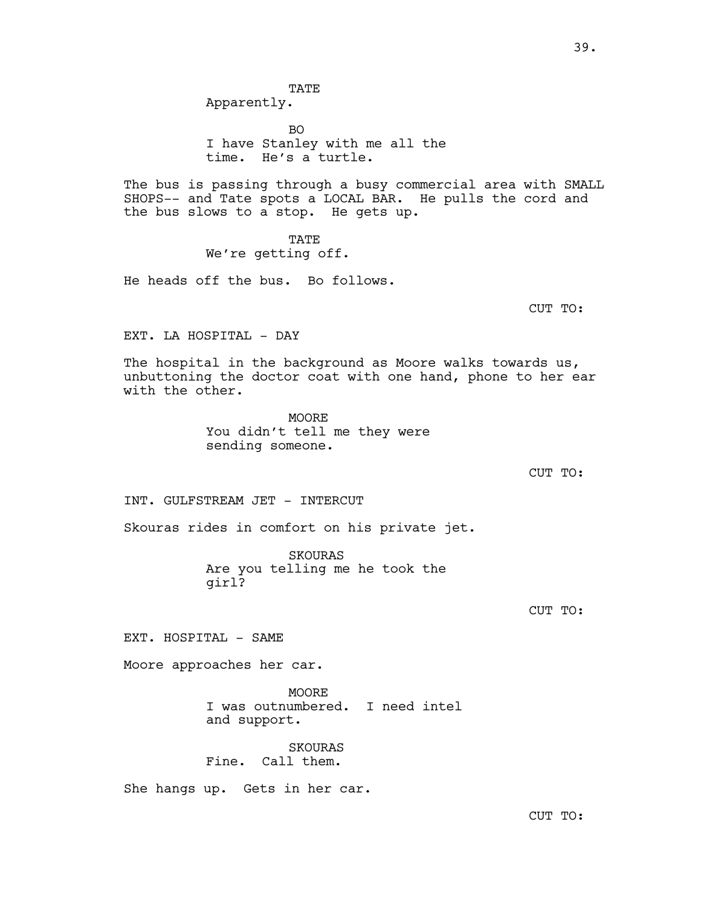TATE Apparently.

BO I have Stanley with me all the time. He's a turtle.

The bus is passing through a busy commercial area with SMALL SHOPS-- and Tate spots a LOCAL BAR. He pulls the cord and the bus slows to a stop. He gets up.

> TATE We're getting off.

He heads off the bus. Bo follows.

CUT TO:

EXT. LA HOSPITAL - DAY

The hospital in the background as Moore walks towards us, unbuttoning the doctor coat with one hand, phone to her ear with the other.

> **MOORE** You didn't tell me they were sending someone.

> > CUT TO:

INT. GULFSTREAM JET - INTERCUT

Skouras rides in comfort on his private jet.

SKOURAS Are you telling me he took the girl?

CUT TO:

EXT. HOSPITAL - SAME

Moore approaches her car.

**MOORE** I was outnumbered. I need intel and support.

SKOURAS Fine. Call them.

She hangs up. Gets in her car.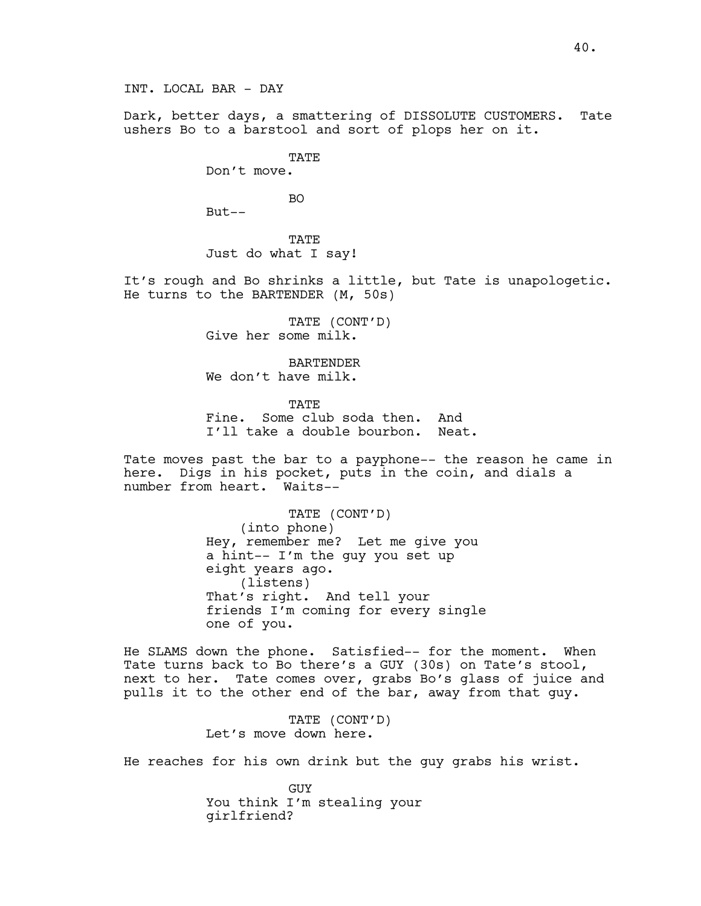Dark, better days, a smattering of DISSOLUTE CUSTOMERS. Tate ushers Bo to a barstool and sort of plops her on it.

TATE

Don't move.

BO

 $But--$ 

TATE Just do what I say!

It's rough and Bo shrinks a little, but Tate is unapologetic. He turns to the BARTENDER (M, 50s)

> TATE (CONT'D) Give her some milk.

BARTENDER We don't have milk.

TATE Fine. Some club soda then. And I'll take a double bourbon. Neat.

Tate moves past the bar to a payphone-- the reason he came in here. Digs in his pocket, puts in the coin, and dials a number from heart. Waits--

> TATE (CONT'D) (into phone) Hey, remember me? Let me give you a hint-- I'm the guy you set up eight years ago. (listens) That's right. And tell your friends I'm coming for every single one of you.

He SLAMS down the phone. Satisfied-- for the moment. When Tate turns back to Bo there's a GUY (30s) on Tate's stool, next to her. Tate comes over, grabs Bo's glass of juice and pulls it to the other end of the bar, away from that guy.

> TATE (CONT'D) Let's move down here.

He reaches for his own drink but the guy grabs his wrist.

GUY You think I'm stealing your girlfriend?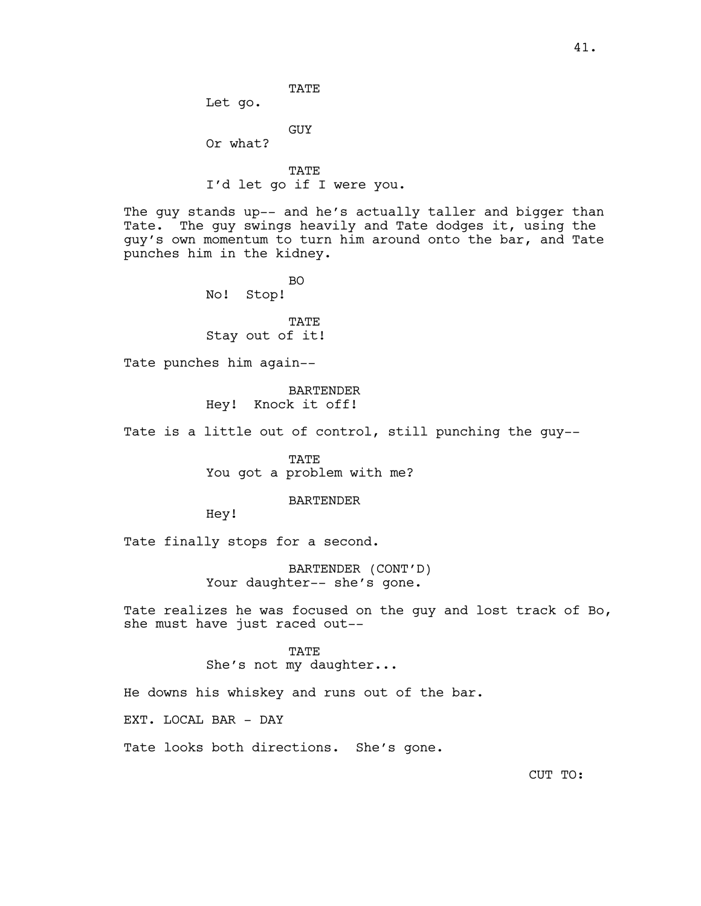TATE Let go.

GUY

Or what?

TATE I'd let go if I were you.

The guy stands up-- and he's actually taller and bigger than Tate. The guy swings heavily and Tate dodges it, using the guy's own momentum to turn him around onto the bar, and Tate punches him in the kidney.

> BO No! Stop!

TATE Stay out of it!

Tate punches him again--

BARTENDER Hey! Knock it off!

Tate is a little out of control, still punching the guy--

TATE You got a problem with me?

### BARTENDER

Hey!

Tate finally stops for a second.

BARTENDER (CONT'D) Your daughter-- she's gone.

Tate realizes he was focused on the guy and lost track of Bo, she must have just raced out--

# TATE

She's not my daughter...

He downs his whiskey and runs out of the bar.

EXT. LOCAL BAR - DAY

Tate looks both directions. She's gone.

CUT TO: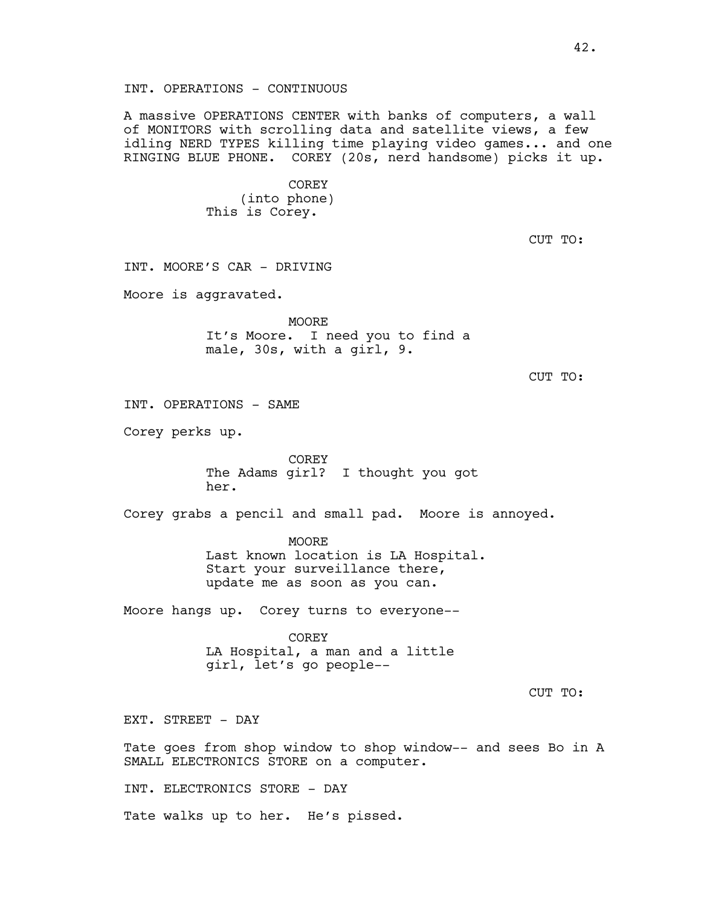A massive OPERATIONS CENTER with banks of computers, a wall of MONITORS with scrolling data and satellite views, a few idling NERD TYPES killing time playing video games... and one RINGING BLUE PHONE. COREY (20s, nerd handsome) picks it up.

> COREY (into phone) This is Corey.

> > CUT TO:

CUT TO:

CUT TO:

INT. MOORE'S CAR - DRIVING Moore is aggravated. MOORE It's Moore. I need you to find a male, 30s, with a girl, 9. INT. OPERATIONS - SAME Corey perks up. COREY The Adams girl? I thought you got her. Corey grabs a pencil and small pad. Moore is annoyed. MOORE Last known location is LA Hospital. Start your surveillance there, update me as soon as you can. Moore hangs up. Corey turns to everyone-- COREY LA Hospital, a man and a little girl, let's go people-- EXT. STREET - DAY Tate goes from shop window to shop window-- and sees Bo in A SMALL ELECTRONICS STORE on a computer.

INT. ELECTRONICS STORE - DAY

Tate walks up to her. He's pissed.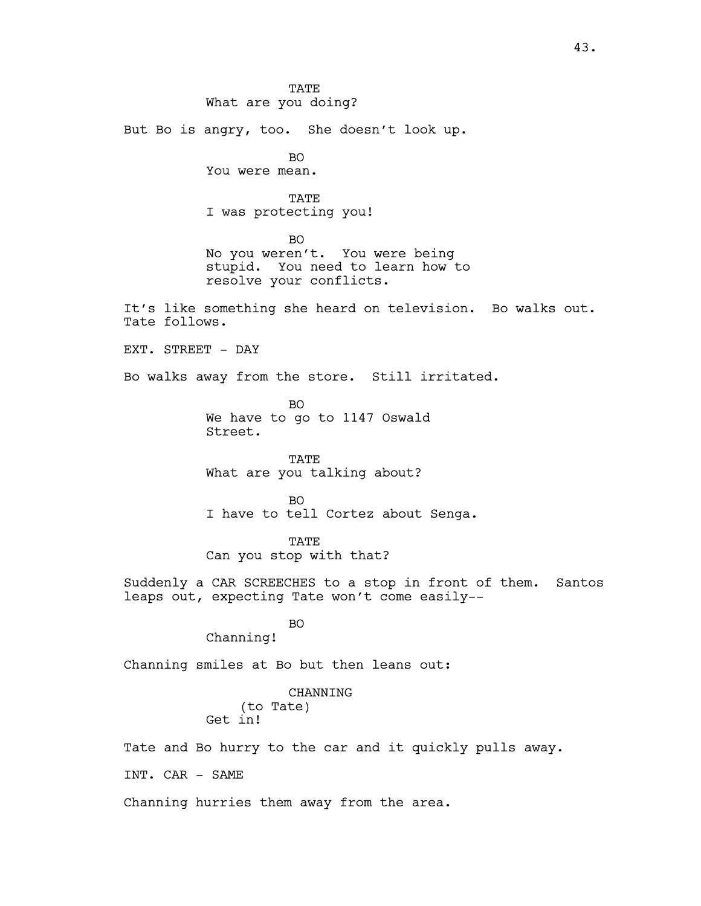TATE What are you doing? But Bo is angry, too. She doesn't look up. BO You were mean. TATE I was protecting you! BO No you weren't. You were being stupid. You need to learn how to resolve your conflicts. It's like something she heard on television. Bo walks out. Tate follows. EXT. STREET - DAY Bo walks away from the store. Still irritated. BO We have to go to 1147 Oswald Street. TATE What are you talking about? BO I have to tell Cortez about Senga. TATE Can you stop with that? Suddenly a CAR SCREECHES to a stop in front of them. Santos leaps out, expecting Tate won't come easily-- BO Channing! Channing smiles at Bo but then leans out: CHANNING (to Tate) Get in! Tate and Bo hurry to the car and it quickly pulls away. INT. CAR - SAME Channing hurries them away from the area.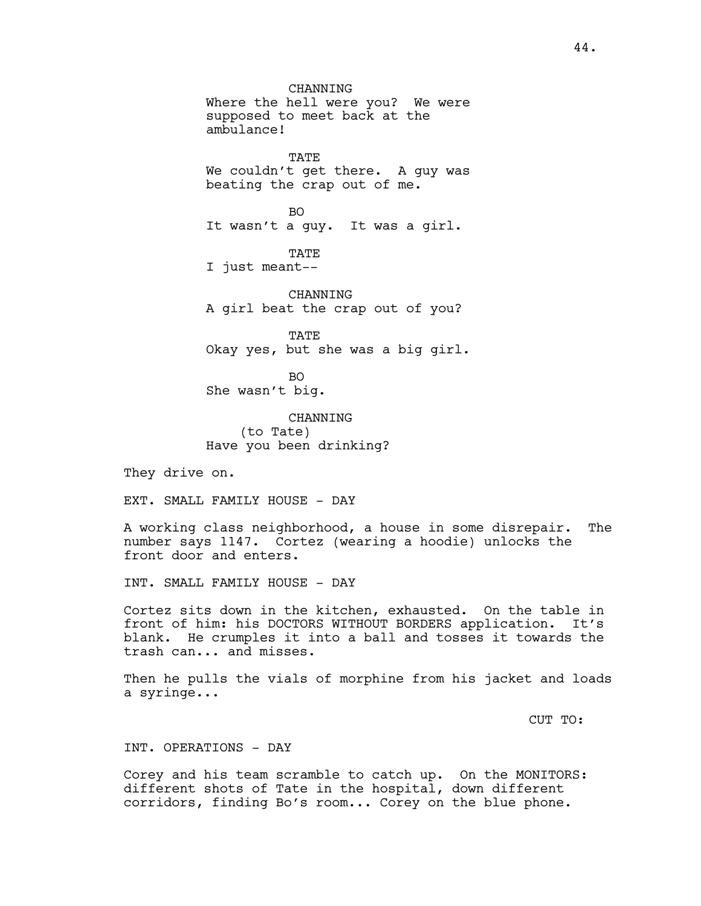**CHANNING** Where the hell were you? We were supposed to meet back at the ambulance! TATE We couldn't get there. A guy was beating the crap out of me. BO It wasn't a guy. It was a girl. TATE I just meant-- CHANNING A girl beat the crap out of you? TATE Okay yes, but she was a big girl. BO She wasn't big. **CHANNING** 

(to Tate) Have you been drinking?

They drive on.

EXT. SMALL FAMILY HOUSE - DAY

A working class neighborhood, a house in some disrepair. The number says 1147. Cortez (wearing a hoodie) unlocks the front door and enters.

INT. SMALL FAMILY HOUSE - DAY

Cortez sits down in the kitchen, exhausted. On the table in front of him: his DOCTORS WITHOUT BORDERS application. It's blank. He crumples it into a ball and tosses it towards the trash can... and misses.

Then he pulls the vials of morphine from his jacket and loads a syringe...

CUT TO:

INT. OPERATIONS - DAY

Corey and his team scramble to catch up. On the MONITORS: different shots of Tate in the hospital, down different corridors, finding Bo's room... Corey on the blue phone.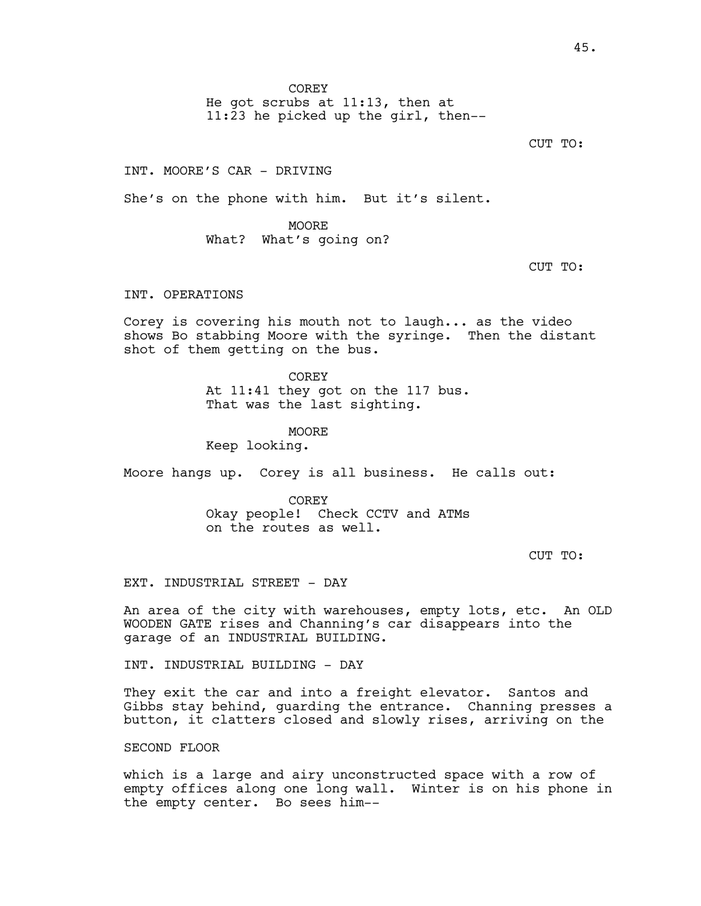**COREY** 

He got scrubs at 11:13, then at 11:23 he picked up the girl, then--

CUT TO:

INT. MOORE'S CAR - DRIVING

She's on the phone with him. But it's silent.

MOORE What? What's going on?

CUT TO:

INT. OPERATIONS

Corey is covering his mouth not to laugh... as the video shows Bo stabbing Moore with the syringe. Then the distant shot of them getting on the bus.

> COREY At 11:41 they got on the 117 bus. That was the last sighting.

MOORE Keep looking.

Moore hangs up. Corey is all business. He calls out:

COREY Okay people! Check CCTV and ATMs on the routes as well.

CUT TO:

EXT. INDUSTRIAL STREET - DAY

An area of the city with warehouses, empty lots, etc. An OLD WOODEN GATE rises and Channing's car disappears into the garage of an INDUSTRIAL BUILDING.

INT. INDUSTRIAL BUILDING - DAY

They exit the car and into a freight elevator. Santos and Gibbs stay behind, guarding the entrance. Channing presses a button, it clatters closed and slowly rises, arriving on the

SECOND FLOOR

which is a large and airy unconstructed space with a row of empty offices along one long wall. Winter is on his phone in the empty center. Bo sees him--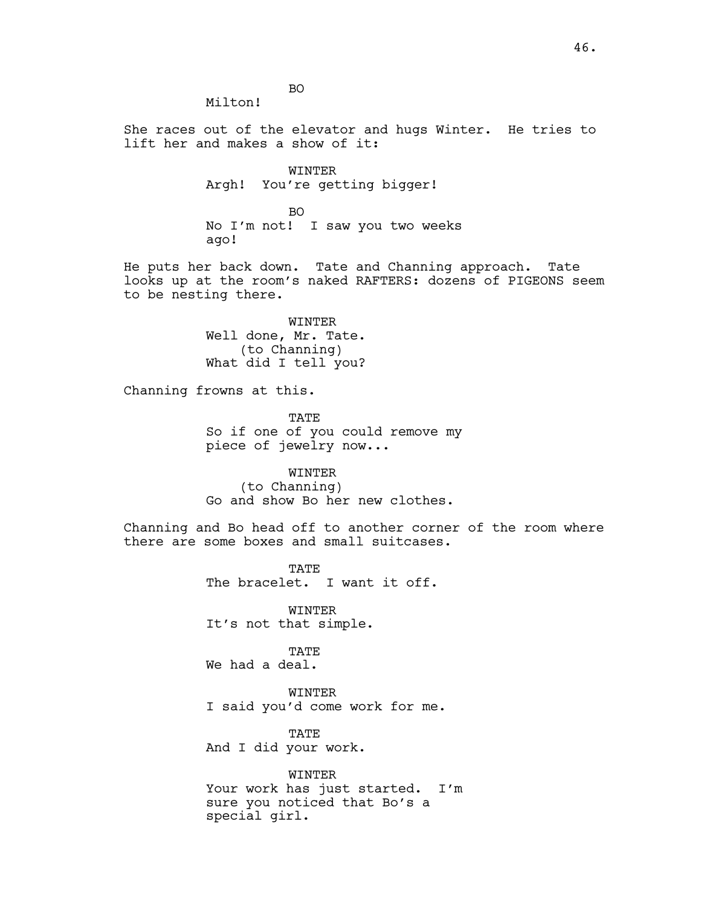BO Milton!

She races out of the elevator and hugs Winter. He tries to lift her and makes a show of it:

> WINTER Argh! You're getting bigger!

BO No I'm not! I saw you two weeks ago!

He puts her back down. Tate and Channing approach. Tate looks up at the room's naked RAFTERS: dozens of PIGEONS seem to be nesting there.

> WINTER Well done, Mr. Tate. (to Channing) What did I tell you?

Channing frowns at this.

**TATE** So if one of you could remove my piece of jewelry now...

WINTER (to Channing) Go and show Bo her new clothes.

Channing and Bo head off to another corner of the room where there are some boxes and small suitcases.

> TATE The bracelet. I want it off.

WINTER It's not that simple.

**TATE** We had a deal.

WINTER I said you'd come work for me.

TATE And I did your work.

WINTER Your work has just started. I'm sure you noticed that Bo's a special girl.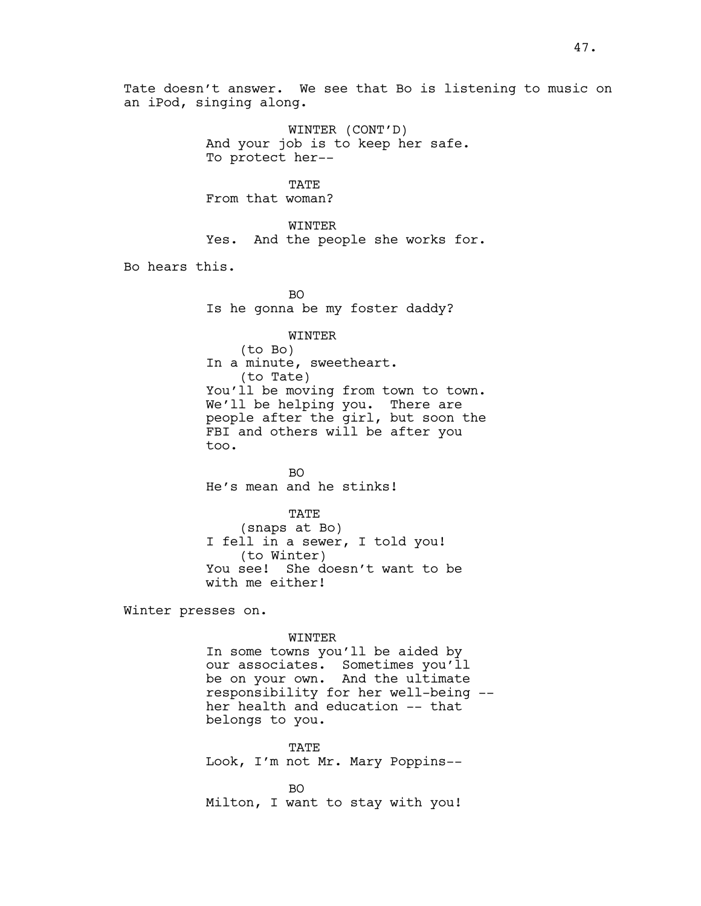Tate doesn't answer. We see that Bo is listening to music on an iPod, singing along.

> WINTER (CONT'D) And your job is to keep her safe. To protect her--

TATE From that woman?

WINTER Yes. And the people she works for.

Bo hears this.

BO Is he gonna be my foster daddy?

#### WINTER

(to Bo) In a minute, sweetheart. (to Tate) You'll be moving from town to town. We'll be helping you. There are people after the girl, but soon the FBI and others will be after you too.

BO He's mean and he stinks!

TATE

(snaps at Bo) I fell in a sewer, I told you! (to Winter) You see! She doesn't want to be with me either!

Winter presses on.

#### WINTER

In some towns you'll be aided by our associates. Sometimes you'll be on your own. And the ultimate responsibility for her well-being - her health and education -- that belongs to you.

**TATE** Look, I'm not Mr. Mary Poppins--

BO Milton, I want to stay with you!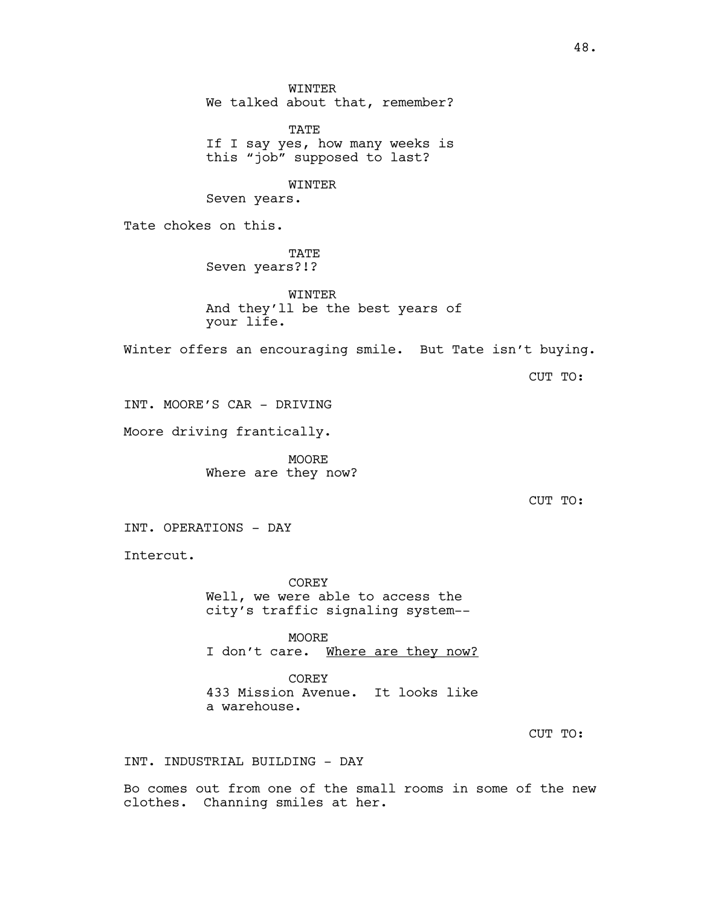WINTER We talked about that, remember? TATE If I say yes, how many weeks is this "job" supposed to last? WINTER Seven years. Tate chokes on this. TATE Seven years?!? **WINTER** And they'll be the best years of your life. Winter offers an encouraging smile. But Tate isn't buying. CUT TO: INT. MOORE'S CAR - DRIVING Moore driving frantically. MOORE Where are they now? CUT TO: INT. OPERATIONS - DAY Intercut. COREY Well, we were able to access the city's traffic signaling system-- MOORE I don't care. Where are they now?

> COREY 433 Mission Avenue. It looks like a warehouse.

> > CUT TO:

INT. INDUSTRIAL BUILDING - DAY

Bo comes out from one of the small rooms in some of the new clothes. Channing smiles at her.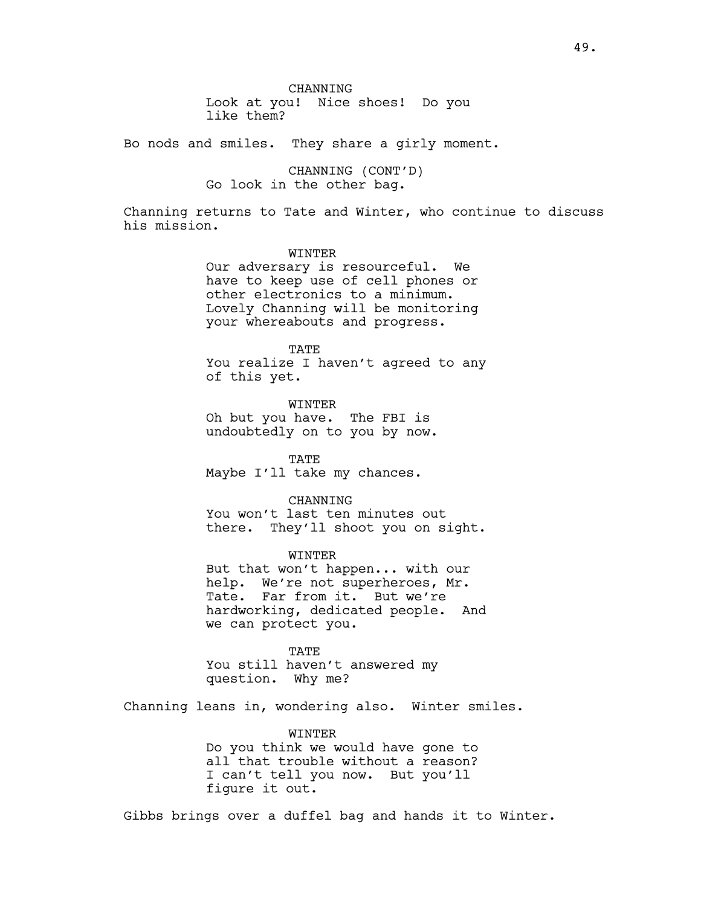**CHANNING** Look at you! Nice shoes! Do you like them?

Bo nods and smiles. They share a girly moment.

CHANNING (CONT'D) Go look in the other bag.

Channing returns to Tate and Winter, who continue to discuss his mission.

WINTER

Our adversary is resourceful. We have to keep use of cell phones or other electronics to a minimum. Lovely Channing will be monitoring your whereabouts and progress.

**TATE** You realize I haven't agreed to any of this yet.

WINTER Oh but you have. The FBI is undoubtedly on to you by now.

TATE Maybe I'll take my chances.

CHANNING You won't last ten minutes out there. They'll shoot you on sight.

WINTER But that won't happen... with our help. We're not superheroes, Mr. Tate. Far from it. But we're hardworking, dedicated people. And we can protect you.

TATE You still haven't answered my question. Why me?

Channing leans in, wondering also. Winter smiles.

WINTER

Do you think we would have gone to all that trouble without a reason? I can't tell you now. But you'll figure it out.

Gibbs brings over a duffel bag and hands it to Winter.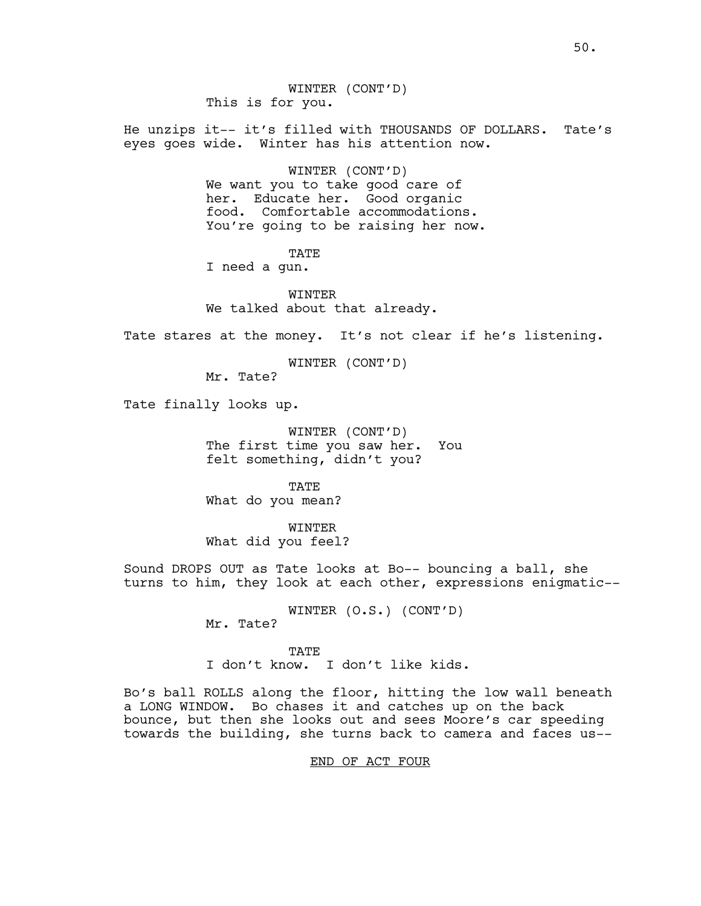He unzips it-- it's filled with THOUSANDS OF DOLLARS. Tate's eyes goes wide. Winter has his attention now.

> WINTER (CONT'D) We want you to take good care of her. Educate her. Good organic food. Comfortable accommodations. You're going to be raising her now.

> > TATE

I need a gun.

**WINTER** We talked about that already.

Tate stares at the money. It's not clear if he's listening.

WINTER (CONT'D)

Mr. Tate?

Tate finally looks up.

WINTER (CONT'D) The first time you saw her. You felt something, didn't you?

TATE What do you mean?

WINTER What did you feel?

Sound DROPS OUT as Tate looks at Bo-- bouncing a ball, she turns to him, they look at each other, expressions enigmatic--

> WINTER (O.S.) (CONT'D) Mr. Tate?

TATE I don't know. I don't like kids.

Bo's ball ROLLS along the floor, hitting the low wall beneath a LONG WINDOW. Bo chases it and catches up on the back bounce, but then she looks out and sees Moore's car speeding towards the building, she turns back to camera and faces us--

# END OF ACT FOUR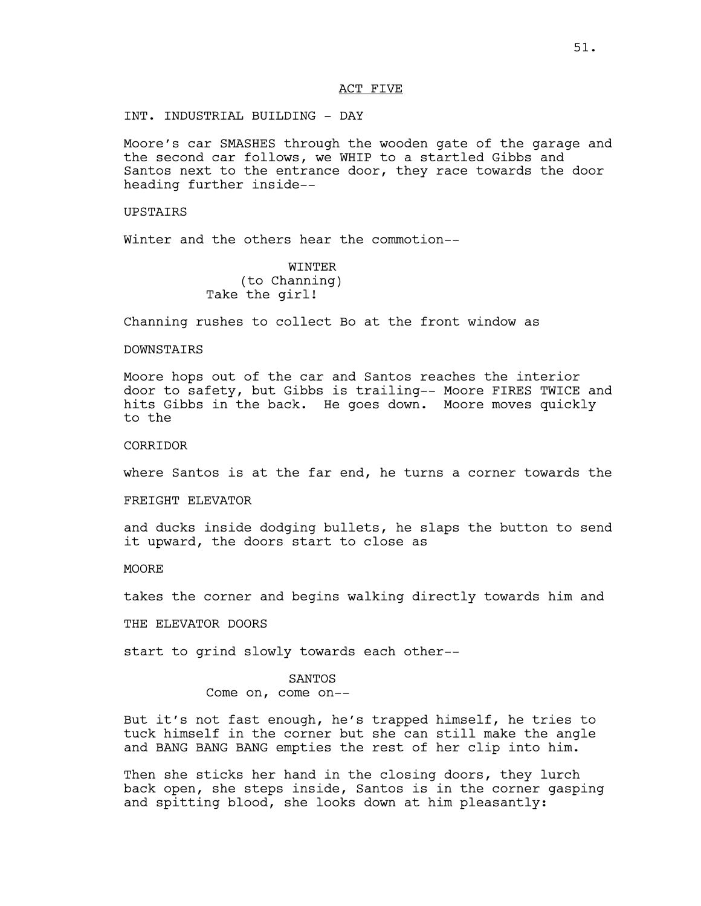## ACT FIVE

INT. INDUSTRIAL BUILDING - DAY

Moore's car SMASHES through the wooden gate of the garage and the second car follows, we WHIP to a startled Gibbs and Santos next to the entrance door, they race towards the door heading further inside--

UPSTAIRS

Winter and the others hear the commotion--

WINTER (to Channing) Take the girl!

Channing rushes to collect Bo at the front window as

# DOWNSTAIRS

Moore hops out of the car and Santos reaches the interior door to safety, but Gibbs is trailing-- Moore FIRES TWICE and hits Gibbs in the back. He goes down. Moore moves quickly to the

**CORRIDOR** 

where Santos is at the far end, he turns a corner towards the

FREIGHT ELEVATOR

and ducks inside dodging bullets, he slaps the button to send it upward, the doors start to close as

**MOORE** 

takes the corner and begins walking directly towards him and

THE ELEVATOR DOORS

start to grind slowly towards each other--

#### SANTOS

Come on, come on--

But it's not fast enough, he's trapped himself, he tries to tuck himself in the corner but she can still make the angle and BANG BANG BANG empties the rest of her clip into him.

Then she sticks her hand in the closing doors, they lurch back open, she steps inside, Santos is in the corner gasping and spitting blood, she looks down at him pleasantly: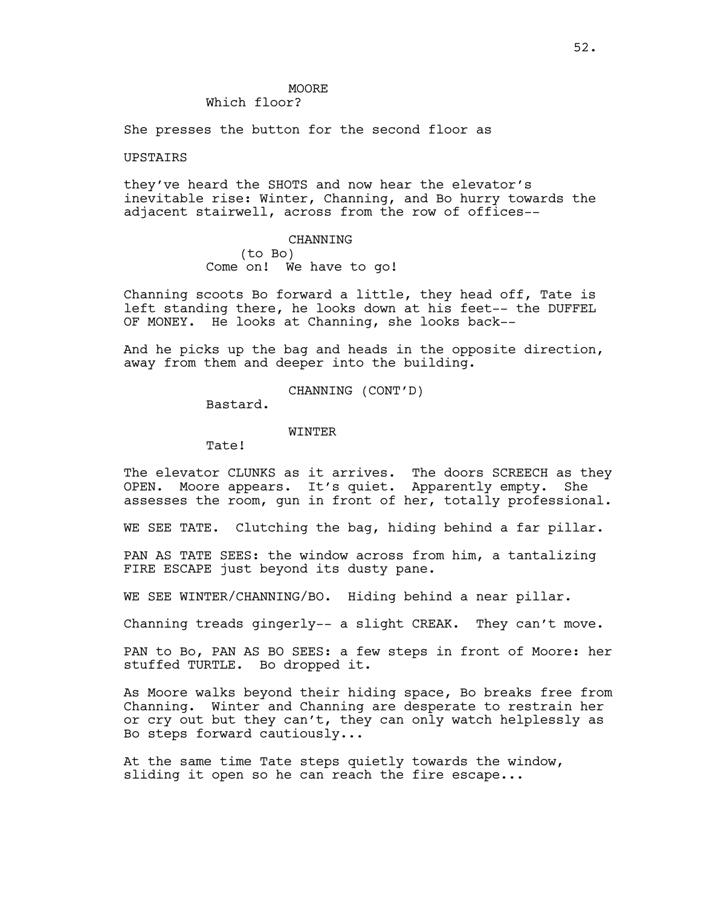## **MOORE** Which floor?

She presses the button for the second floor as

## UPSTAIRS

they've heard the SHOTS and now hear the elevator's inevitable rise: Winter, Channing, and Bo hurry towards the adjacent stairwell, across from the row of offices--

> CHANNING (to Bo) Come on! We have to go!

Channing scoots Bo forward a little, they head off, Tate is left standing there, he looks down at his feet-- the DUFFEL OF MONEY. He looks at Channing, she looks back--

And he picks up the bag and heads in the opposite direction, away from them and deeper into the building.

CHANNING (CONT'D)

Bastard.

#### WINTER

Tate!

The elevator CLUNKS as it arrives. The doors SCREECH as they OPEN. Moore appears. It's quiet. Apparently empty. She assesses the room, gun in front of her, totally professional.

WE SEE TATE. Clutching the bag, hiding behind a far pillar.

PAN AS TATE SEES: the window across from him, a tantalizing FIRE ESCAPE just beyond its dusty pane.

WE SEE WINTER/CHANNING/BO. Hiding behind a near pillar.

Channing treads gingerly-- a slight CREAK. They can't move.

PAN to Bo, PAN AS BO SEES: a few steps in front of Moore: her stuffed TURTLE. Bo dropped it.

As Moore walks beyond their hiding space, Bo breaks free from Channing. Winter and Channing are desperate to restrain her or cry out but they can't, they can only watch helplessly as Bo steps forward cautiously...

At the same time Tate steps quietly towards the window, sliding it open so he can reach the fire escape...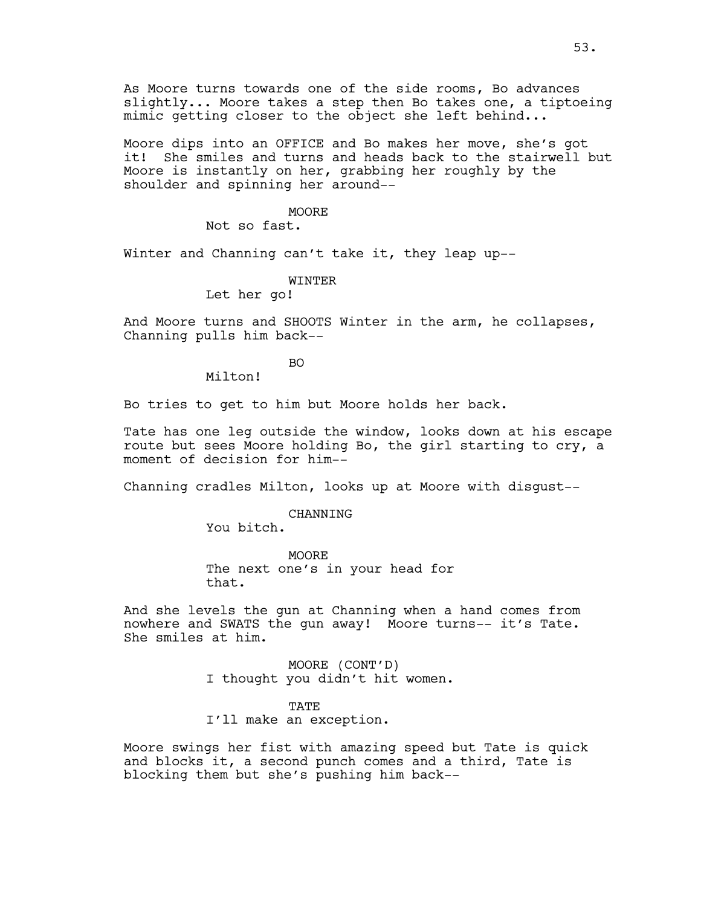As Moore turns towards one of the side rooms, Bo advances slightly... Moore takes a step then Bo takes one, a tiptoeing mimic getting closer to the object she left behind...

Moore dips into an OFFICE and Bo makes her move, she's got it! She smiles and turns and heads back to the stairwell but Moore is instantly on her, grabbing her roughly by the shoulder and spinning her around--

### **MOORE**

Not so fast.

Winter and Channing can't take it, they leap up--

### WINTER

Let her go!

And Moore turns and SHOOTS Winter in the arm, he collapses, Channing pulls him back--

BO

Milton!

Bo tries to get to him but Moore holds her back.

Tate has one leg outside the window, looks down at his escape route but sees Moore holding Bo, the girl starting to cry, a moment of decision for him--

Channing cradles Milton, looks up at Moore with disgust--

#### **CHANNING**

You bitch.

MOORE The next one's in your head for that.

And she levels the gun at Channing when a hand comes from nowhere and SWATS the gun away! Moore turns-- it's Tate. She smiles at him.

> MOORE (CONT'D) I thought you didn't hit women.

> > TATE

I'll make an exception.

Moore swings her fist with amazing speed but Tate is quick and blocks it, a second punch comes and a third, Tate is blocking them but she's pushing him back--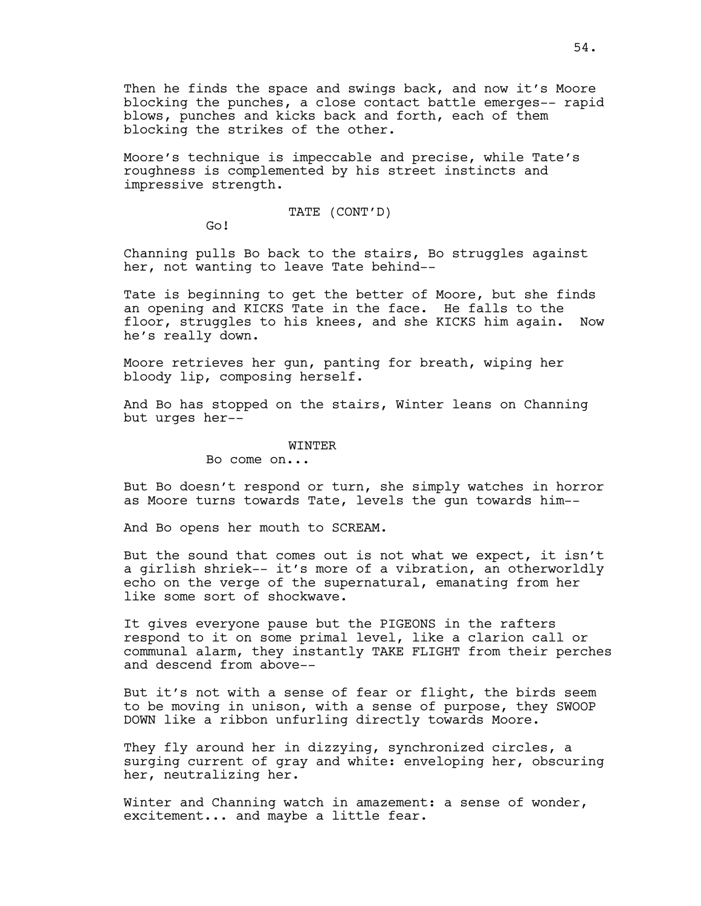Then he finds the space and swings back, and now it's Moore blocking the punches, a close contact battle emerges-- rapid blows, punches and kicks back and forth, each of them blocking the strikes of the other.

Moore's technique is impeccable and precise, while Tate's roughness is complemented by his street instincts and impressive strength.

# TATE (CONT'D)

Go!

Channing pulls Bo back to the stairs, Bo struggles against her, not wanting to leave Tate behind--

Tate is beginning to get the better of Moore, but she finds an opening and KICKS Tate in the face. He falls to the floor, struggles to his knees, and she KICKS him again. Now he's really down.

Moore retrieves her gun, panting for breath, wiping her bloody lip, composing herself.

And Bo has stopped on the stairs, Winter leans on Channing but urges her--

#### WINTER

Bo come on...

But Bo doesn't respond or turn, she simply watches in horror as Moore turns towards Tate, levels the gun towards him--

And Bo opens her mouth to SCREAM.

But the sound that comes out is not what we expect, it isn't a girlish shriek-- it's more of a vibration, an otherworldly echo on the verge of the supernatural, emanating from her like some sort of shockwave.

It gives everyone pause but the PIGEONS in the rafters respond to it on some primal level, like a clarion call or communal alarm, they instantly TAKE FLIGHT from their perches and descend from above--

But it's not with a sense of fear or flight, the birds seem to be moving in unison, with a sense of purpose, they SWOOP DOWN like a ribbon unfurling directly towards Moore.

They fly around her in dizzying, synchronized circles, a surging current of gray and white: enveloping her, obscuring her, neutralizing her.

Winter and Channing watch in amazement: a sense of wonder, excitement... and maybe a little fear.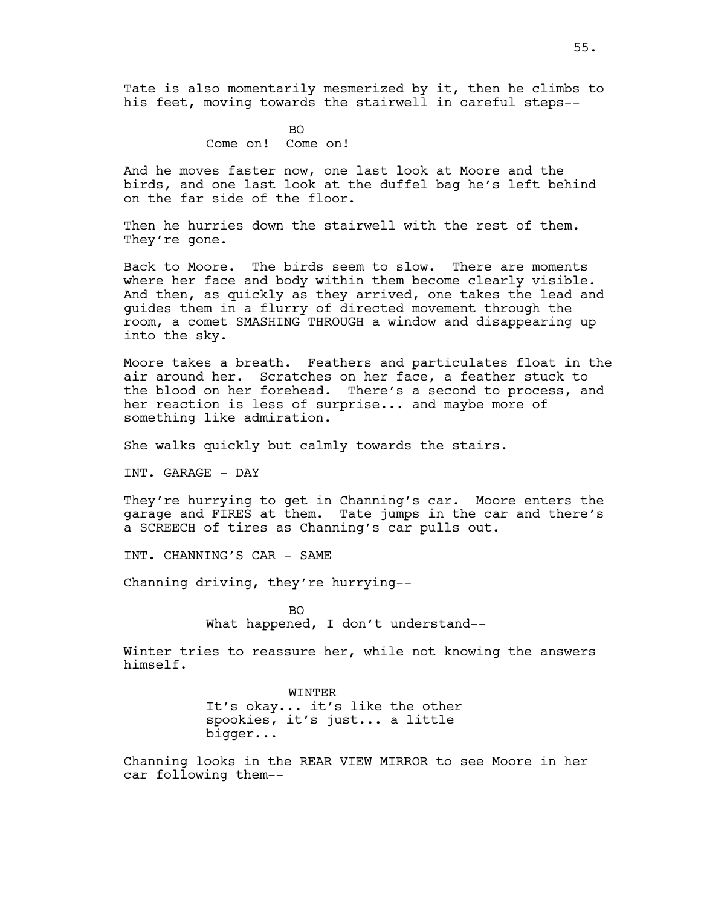Tate is also momentarily mesmerized by it, then he climbs to his feet, moving towards the stairwell in careful steps--

> BO Come on! Come on!

And he moves faster now, one last look at Moore and the birds, and one last look at the duffel bag he's left behind on the far side of the floor.

Then he hurries down the stairwell with the rest of them. They're gone.

Back to Moore. The birds seem to slow. There are moments where her face and body within them become clearly visible. And then, as quickly as they arrived, one takes the lead and guides them in a flurry of directed movement through the room, a comet SMASHING THROUGH a window and disappearing up into the sky.

Moore takes a breath. Feathers and particulates float in the air around her. Scratches on her face, a feather stuck to the blood on her forehead. There's a second to process, and her reaction is less of surprise... and maybe more of something like admiration.

She walks quickly but calmly towards the stairs.

INT. GARAGE - DAY

They're hurrying to get in Channing's car. Moore enters the garage and FIRES at them. Tate jumps in the car and there's a SCREECH of tires as Channing's car pulls out.

INT. CHANNING'S CAR - SAME

Channing driving, they're hurrying--

BO What happened, I don't understand--

Winter tries to reassure her, while not knowing the answers himself.

> WINTER It's okay... it's like the other spookies, it's just... a little bigger...

Channing looks in the REAR VIEW MIRROR to see Moore in her car following them--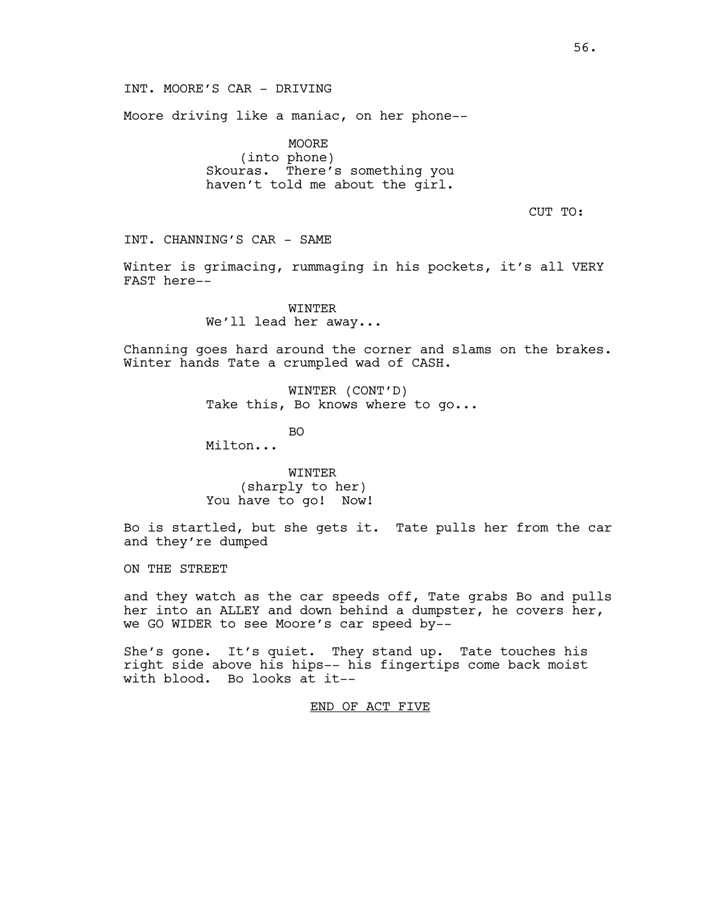INT. MOORE'S CAR - DRIVING

Moore driving like a maniac, on her phone--

MOORE (into phone) Skouras. There's something you haven't told me about the girl.

CUT TO:

INT. CHANNING'S CAR - SAME

Winter is grimacing, rummaging in his pockets, it's all VERY FAST here--

> WINTER We'll lead her away...

Channing goes hard around the corner and slams on the brakes. Winter hands Tate a crumpled wad of CASH.

> WINTER (CONT'D) Take this, Bo knows where to go...

> > BO

Milton...

WINTER (sharply to her) You have to go! Now!

Bo is startled, but she gets it. Tate pulls her from the car and they're dumped

ON THE STREET

and they watch as the car speeds off, Tate grabs Bo and pulls her into an ALLEY and down behind a dumpster, he covers her, we GO WIDER to see Moore's car speed by--

She's gone. It's quiet. They stand up. Tate touches his right side above his hips-- his fingertips come back moist with blood. Bo looks at it--

END OF ACT FIVE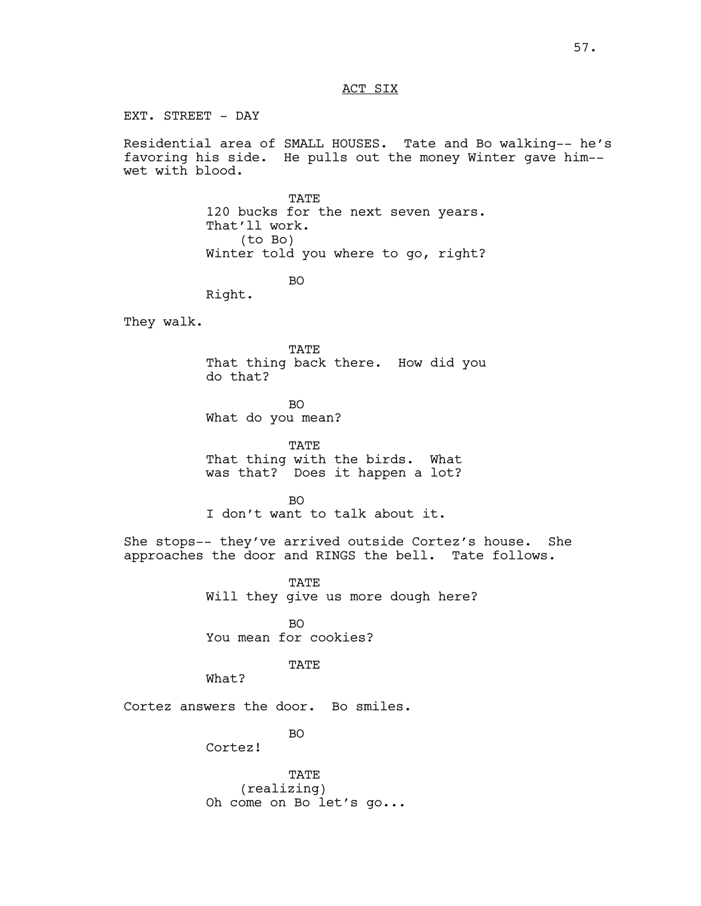## ACT SIX

EXT. STREET - DAY

Residential area of SMALL HOUSES. Tate and Bo walking-- he's favoring his side. He pulls out the money Winter gave him- wet with blood.

> TATE 120 bucks for the next seven years. That'll work. (to Bo) Winter told you where to go, right?

> > BO

Right.

They walk.

TATE That thing back there. How did you do that?

BO What do you mean?

TATE That thing with the birds. What was that? Does it happen a lot?

 $BO$ I don't want to talk about it.

She stops-- they've arrived outside Cortez's house. She approaches the door and RINGS the bell. Tate follows.

> TATE Will they give us more dough here?

BO You mean for cookies?

**TATE** 

What?

Cortez answers the door. Bo smiles.

BO

Cortez!

TATE (realizing) Oh come on Bo let's go...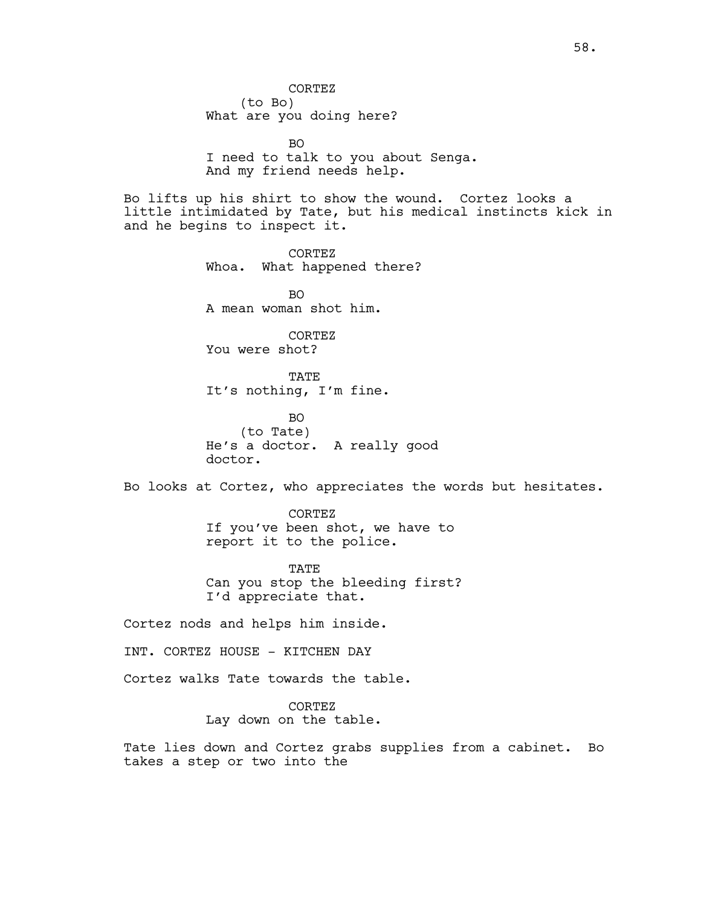CORTEZ (to Bo) What are you doing here?

 $BO$ I need to talk to you about Senga. And my friend needs help.

Bo lifts up his shirt to show the wound. Cortez looks a little intimidated by Tate, but his medical instincts kick in and he begins to inspect it.

> CORTEZ Whoa. What happened there?

BO A mean woman shot him.

CORTEZ You were shot?

TATE It's nothing, I'm fine.

BO (to Tate) He's a doctor. A really good doctor.

Bo looks at Cortez, who appreciates the words but hesitates.

CORTEZ If you've been shot, we have to report it to the police.

**TATE** Can you stop the bleeding first? I'd appreciate that.

Cortez nods and helps him inside.

INT. CORTEZ HOUSE - KITCHEN DAY

Cortez walks Tate towards the table.

CORTEZ Lay down on the table.

Tate lies down and Cortez grabs supplies from a cabinet. Bo takes a step or two into the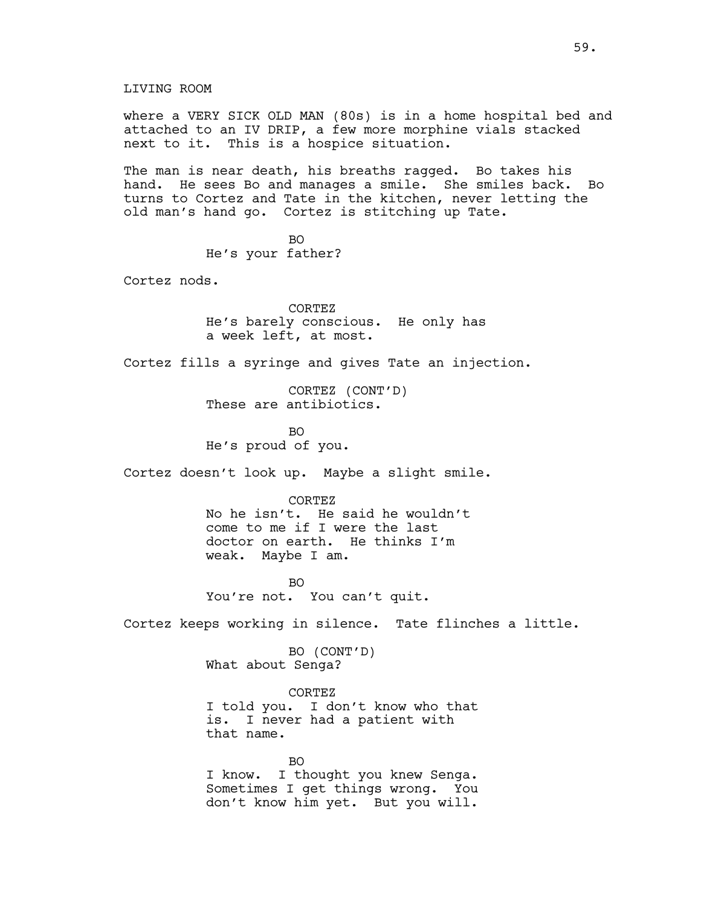where a VERY SICK OLD MAN (80s) is in a home hospital bed and attached to an IV DRIP, a few more morphine vials stacked next to it. This is a hospice situation.

The man is near death, his breaths ragged. Bo takes his hand. He sees Bo and manages a smile. She smiles back. Bo turns to Cortez and Tate in the kitchen, never letting the old man's hand go. Cortez is stitching up Tate.

> BO He's your father?

Cortez nods.

CORTEZ He's barely conscious. He only has a week left, at most.

Cortez fills a syringe and gives Tate an injection.

CORTEZ (CONT'D) These are antibiotics.

BO He's proud of you.

Cortez doesn't look up. Maybe a slight smile.

CORTEZ

No he isn't. He said he wouldn't come to me if I were the last doctor on earth. He thinks I'm weak. Maybe I am.

BO You're not. You can't quit.

Cortez keeps working in silence. Tate flinches a little.

BO (CONT'D) What about Senga?

CORTEZ I told you. I don't know who that is. I never had a patient with that name.

BO I know. I thought you knew Senga. Sometimes I get things wrong. You don't know him yet. But you will.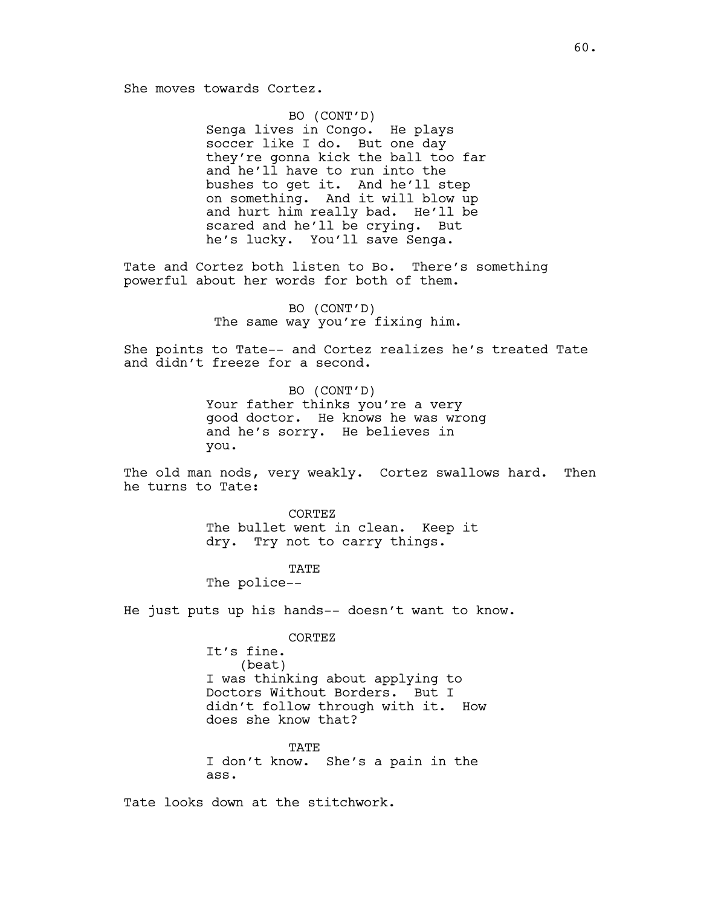BO (CONT'D) Senga lives in Congo. He plays soccer like I do. But one day they're gonna kick the ball too far and he'll have to run into the bushes to get it. And he'll step on something. And it will blow up and hurt him really bad. He'll be scared and he'll be crying. But he's lucky. You'll save Senga.

Tate and Cortez both listen to Bo. There's something powerful about her words for both of them.

> BO (CONT'D) The same way you're fixing him.

She points to Tate-- and Cortez realizes he's treated Tate and didn't freeze for a second.

> BO (CONT'D) Your father thinks you're a very good doctor. He knows he was wrong and he's sorry. He believes in you.

The old man nods, very weakly. Cortez swallows hard. Then he turns to Tate:

> CORTEZ The bullet went in clean. Keep it dry. Try not to carry things.

> > **TATE**

The police--

He just puts up his hands-- doesn't want to know.

CORTEZ

It's fine. (beat) I was thinking about applying to Doctors Without Borders. But I didn't follow through with it. How does she know that?

**TATE** I don't know. She's a pain in the ass.

Tate looks down at the stitchwork.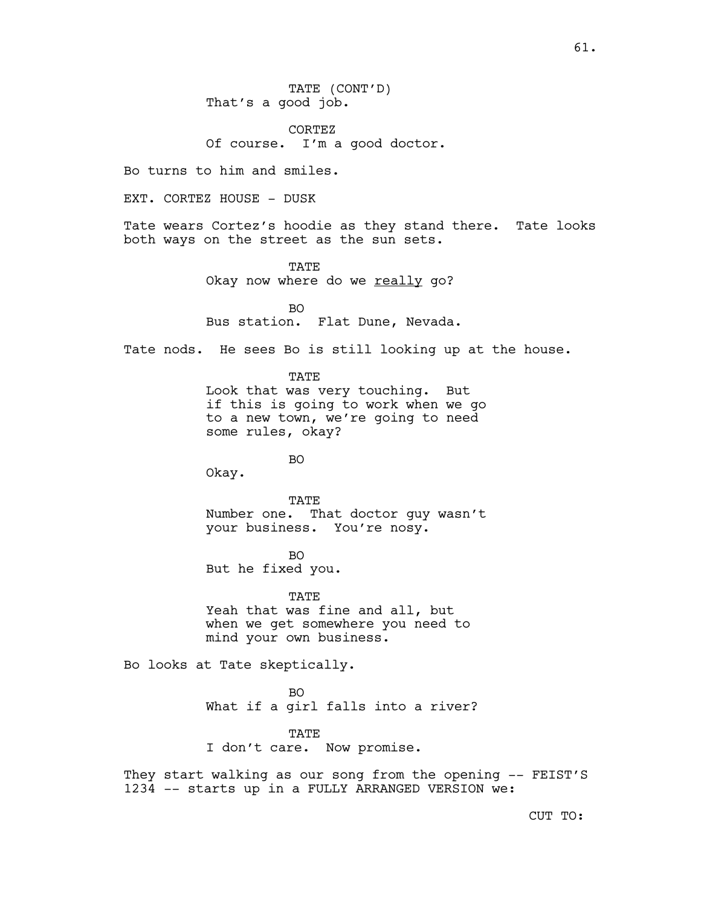61.

TATE (CONT'D) That's a good job.

CORTEZ Of course. I'm a good doctor.

Bo turns to him and smiles.

EXT. CORTEZ HOUSE - DUSK

Tate wears Cortez's hoodie as they stand there. Tate looks both ways on the street as the sun sets.

> **TATE** Okay now where do we really go?

BO Bus station. Flat Dune, Nevada.

Tate nods. He sees Bo is still looking up at the house.

TATE Look that was very touching. But if this is going to work when we go to a new town, we're going to need

some rules, okay?

BO

Okay.

TATE

Number one. That doctor guy wasn't your business. You're nosy.

BO But he fixed you.

TATE Yeah that was fine and all, but when we get somewhere you need to mind your own business.

Bo looks at Tate skeptically.

 $BO$ 

What if a girl falls into a river?

TATE

I don't care. Now promise.

They start walking as our song from the opening -- FEIST'S 1234 -- starts up in a FULLY ARRANGED VERSION we:

CUT TO: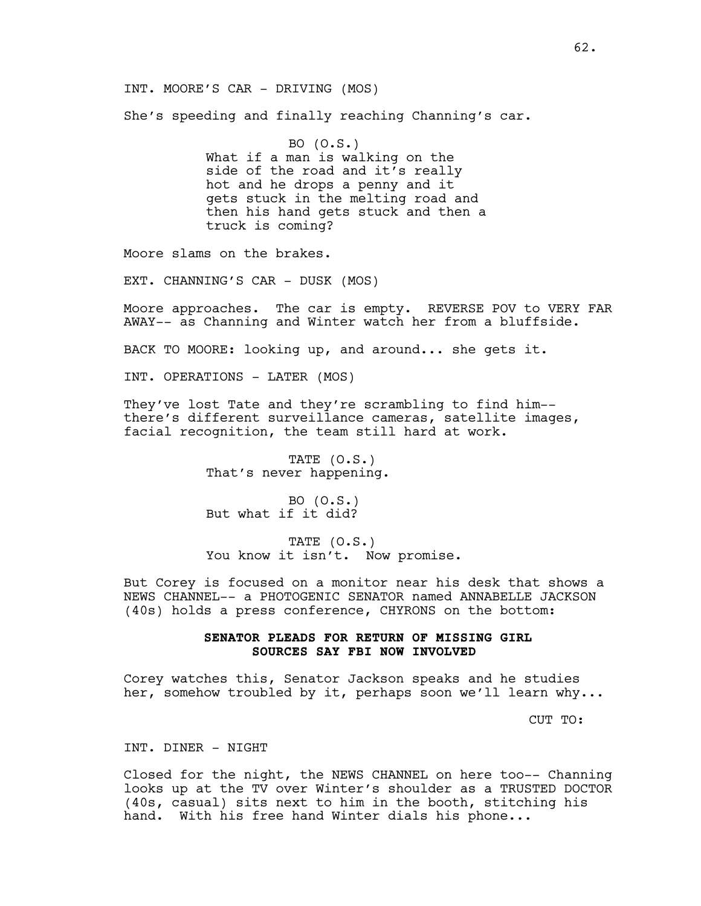INT. MOORE'S CAR - DRIVING (MOS)

She's speeding and finally reaching Channing's car.

BO (O.S.) What if a man is walking on the side of the road and it's really hot and he drops a penny and it gets stuck in the melting road and then his hand gets stuck and then a truck is coming?

Moore slams on the brakes.

EXT. CHANNING'S CAR - DUSK (MOS)

Moore approaches. The car is empty. REVERSE POV to VERY FAR AWAY-- as Channing and Winter watch her from a bluffside.

BACK TO MOORE: looking up, and around... she gets it.

INT. OPERATIONS - LATER (MOS)

They've lost Tate and they're scrambling to find him- there's different surveillance cameras, satellite images, facial recognition, the team still hard at work.

> TATE (O.S.) That's never happening.

BO (O.S.) But what if it did?

TATE (O.S.) You know it isn't. Now promise.

But Corey is focused on a monitor near his desk that shows a NEWS CHANNEL-- a PHOTOGENIC SENATOR named ANNABELLE JACKSON (40s) holds a press conference, CHYRONS on the bottom:

# **SENATOR PLEADS FOR RETURN OF MISSING GIRL SOURCES SAY FBI NOW INVOLVED**

Corey watches this, Senator Jackson speaks and he studies her, somehow troubled by it, perhaps soon we'll learn why...

CUT TO:

INT. DINER - NIGHT

Closed for the night, the NEWS CHANNEL on here too-- Channing looks up at the TV over Winter's shoulder as a TRUSTED DOCTOR (40s, casual) sits next to him in the booth, stitching his hand. With his free hand Winter dials his phone...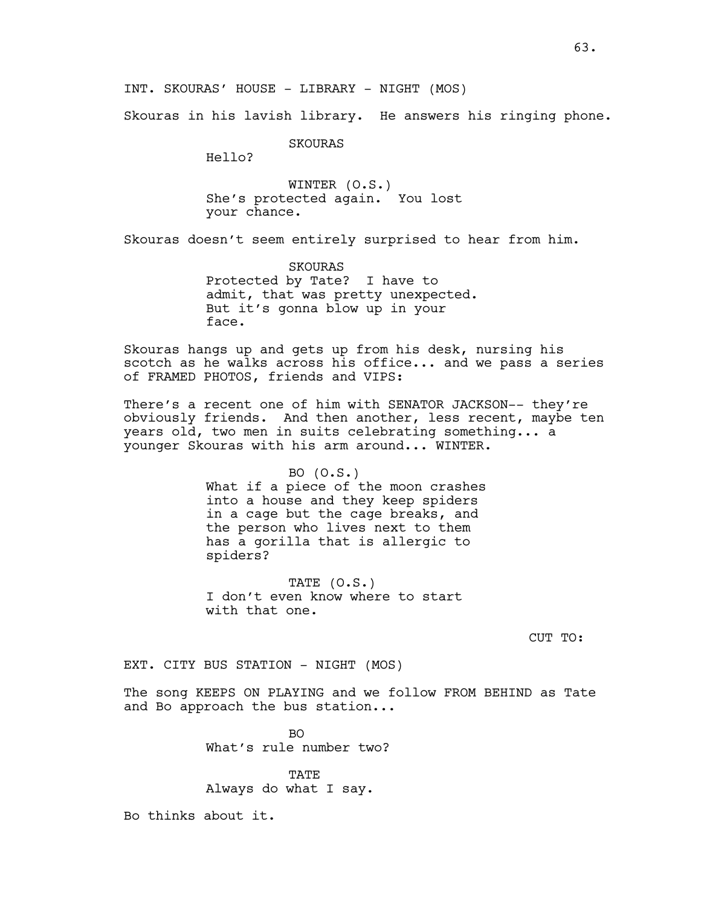Skouras in his lavish library. He answers his ringing phone.

SKOURAS

Hello?

WINTER (O.S.) She's protected again. You lost your chance.

Skouras doesn't seem entirely surprised to hear from him.

SKOURAS Protected by Tate? I have to admit, that was pretty unexpected. But it's gonna blow up in your face.

Skouras hangs up and gets up from his desk, nursing his scotch as he walks across his office... and we pass a series of FRAMED PHOTOS, friends and VIPS:

There's a recent one of him with SENATOR JACKSON-- they're obviously friends. And then another, less recent, maybe ten years old, two men in suits celebrating something... a younger Skouras with his arm around... WINTER.

#### BO (O.S.)

What if a piece of the moon crashes into a house and they keep spiders in a cage but the cage breaks, and the person who lives next to them has a gorilla that is allergic to spiders?

TATE (O.S.) I don't even know where to start with that one.

CUT TO:

EXT. CITY BUS STATION - NIGHT (MOS)

The song KEEPS ON PLAYING and we follow FROM BEHIND as Tate and Bo approach the bus station...

> BO What's rule number two?

TATE Always do what I say.

Bo thinks about it.